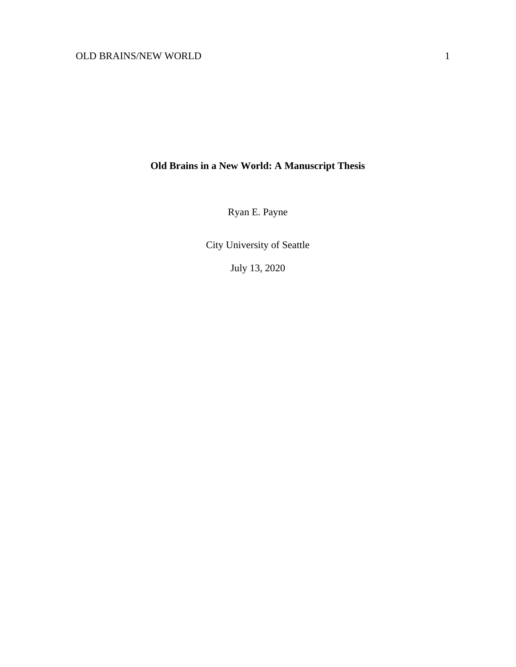# **Old Brains in a New World: A Manuscript Thesis**

Ryan E. Payne

City University of Seattle

July 13, 2020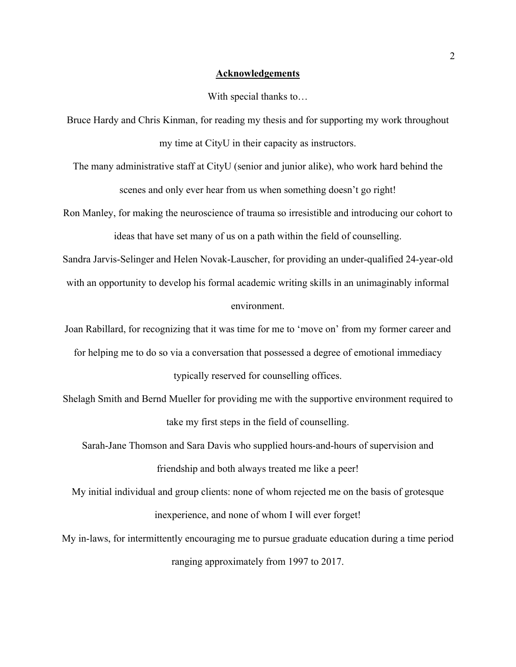## **Acknowledgements**

#### With special thanks to…

Bruce Hardy and Chris Kinman, for reading my thesis and for supporting my work throughout my time at CityU in their capacity as instructors.

The many administrative staff at CityU (senior and junior alike), who work hard behind the scenes and only ever hear from us when something doesn't go right!

Ron Manley, for making the neuroscience of trauma so irresistible and introducing our cohort to ideas that have set many of us on a path within the field of counselling.

Sandra Jarvis-Selinger and Helen Novak-Lauscher, for providing an under-qualified 24-year-old with an opportunity to develop his formal academic writing skills in an unimaginably informal environment.

Joan Rabillard, for recognizing that it was time for me to 'move on' from my former career and for helping me to do so via a conversation that possessed a degree of emotional immediacy typically reserved for counselling offices.

Shelagh Smith and Bernd Mueller for providing me with the supportive environment required to take my first steps in the field of counselling.

Sarah-Jane Thomson and Sara Davis who supplied hours-and-hours of supervision and friendship and both always treated me like a peer!

My initial individual and group clients: none of whom rejected me on the basis of grotesque inexperience, and none of whom I will ever forget!

My in-laws, for intermittently encouraging me to pursue graduate education during a time period ranging approximately from 1997 to 2017.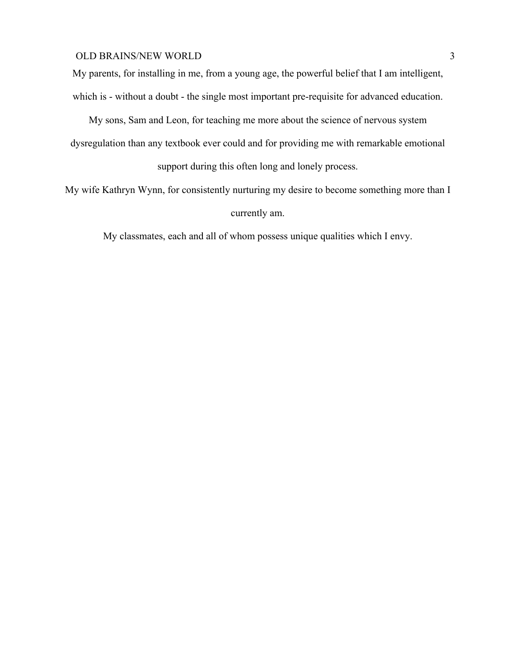My parents, for installing in me, from a young age, the powerful belief that I am intelligent, which is - without a doubt - the single most important pre-requisite for advanced education.

My sons, Sam and Leon, for teaching me more about the science of nervous system dysregulation than any textbook ever could and for providing me with remarkable emotional

support during this often long and lonely process.

My wife Kathryn Wynn, for consistently nurturing my desire to become something more than I currently am.

My classmates, each and all of whom possess unique qualities which I envy.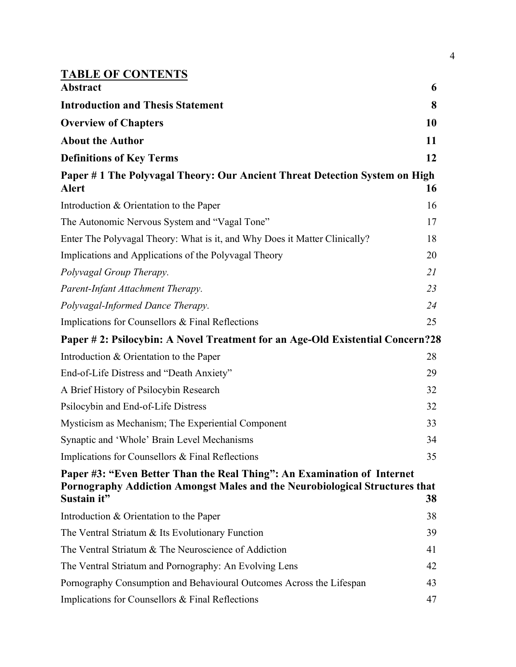| <b>TABLE OF CONTENTS</b>                                                                                                                                              |    |
|-----------------------------------------------------------------------------------------------------------------------------------------------------------------------|----|
| <b>Abstract</b>                                                                                                                                                       | 6  |
| <b>Introduction and Thesis Statement</b>                                                                                                                              | 8  |
| <b>Overview of Chapters</b>                                                                                                                                           | 10 |
| <b>About the Author</b>                                                                                                                                               | 11 |
| <b>Definitions of Key Terms</b>                                                                                                                                       | 12 |
| Paper #1 The Polyvagal Theory: Our Ancient Threat Detection System on High<br>Alert                                                                                   | 16 |
| Introduction & Orientation to the Paper                                                                                                                               | 16 |
| The Autonomic Nervous System and "Vagal Tone"                                                                                                                         | 17 |
| Enter The Polyvagal Theory: What is it, and Why Does it Matter Clinically?                                                                                            | 18 |
| Implications and Applications of the Polyvagal Theory                                                                                                                 | 20 |
| Polyvagal Group Therapy.                                                                                                                                              | 21 |
| Parent-Infant Attachment Therapy.                                                                                                                                     | 23 |
| Polyvagal-Informed Dance Therapy.                                                                                                                                     | 24 |
| Implications for Counsellors & Final Reflections                                                                                                                      | 25 |
| Paper # 2: Psilocybin: A Novel Treatment for an Age-Old Existential Concern?28                                                                                        |    |
| Introduction & Orientation to the Paper                                                                                                                               | 28 |
| End-of-Life Distress and "Death Anxiety"                                                                                                                              | 29 |
| A Brief History of Psilocybin Research                                                                                                                                | 32 |
| Psilocybin and End-of-Life Distress                                                                                                                                   | 32 |
| Mysticism as Mechanism; The Experiential Component                                                                                                                    | 33 |
| Synaptic and 'Whole' Brain Level Mechanisms                                                                                                                           | 34 |
| Implications for Counsellors & Final Reflections                                                                                                                      | 35 |
| Paper #3: "Even Better Than the Real Thing": An Examination of Internet<br>Pornography Addiction Amongst Males and the Neurobiological Structures that<br>Sustain it" | 38 |
| Introduction & Orientation to the Paper                                                                                                                               | 38 |
| The Ventral Striatum & Its Evolutionary Function                                                                                                                      | 39 |
| The Ventral Striatum & The Neuroscience of Addiction                                                                                                                  | 41 |
| The Ventral Striatum and Pornography: An Evolving Lens                                                                                                                | 42 |
| Pornography Consumption and Behavioural Outcomes Across the Lifespan                                                                                                  | 43 |
| Implications for Counsellors & Final Reflections                                                                                                                      | 47 |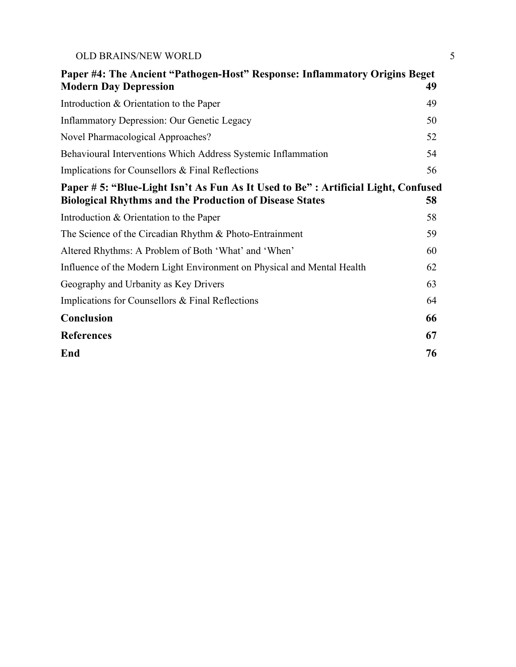| <b>OLD BRAINS/NEW WORLD</b> |  |
|-----------------------------|--|
|                             |  |

| Paper #4: The Ancient "Pathogen-Host" Response: Inflammatory Origins Beget<br><b>Modern Day Depression</b>                                           | 49 |
|------------------------------------------------------------------------------------------------------------------------------------------------------|----|
|                                                                                                                                                      |    |
| Introduction & Orientation to the Paper                                                                                                              | 49 |
| <b>Inflammatory Depression: Our Genetic Legacy</b>                                                                                                   | 50 |
| Novel Pharmacological Approaches?                                                                                                                    | 52 |
| Behavioural Interventions Which Address Systemic Inflammation                                                                                        | 54 |
| Implications for Counsellors & Final Reflections                                                                                                     | 56 |
| Paper # 5: "Blue-Light Isn't As Fun As It Used to Be" : Artificial Light, Confused<br><b>Biological Rhythms and the Production of Disease States</b> | 58 |
| Introduction & Orientation to the Paper                                                                                                              | 58 |
| The Science of the Circadian Rhythm & Photo-Entrainment                                                                                              | 59 |
| Altered Rhythms: A Problem of Both 'What' and 'When'                                                                                                 | 60 |
| Influence of the Modern Light Environment on Physical and Mental Health                                                                              | 62 |
| Geography and Urbanity as Key Drivers                                                                                                                | 63 |
| Implications for Counsellors & Final Reflections                                                                                                     | 64 |
| <b>Conclusion</b>                                                                                                                                    | 66 |
| <b>References</b>                                                                                                                                    | 67 |
| End                                                                                                                                                  | 76 |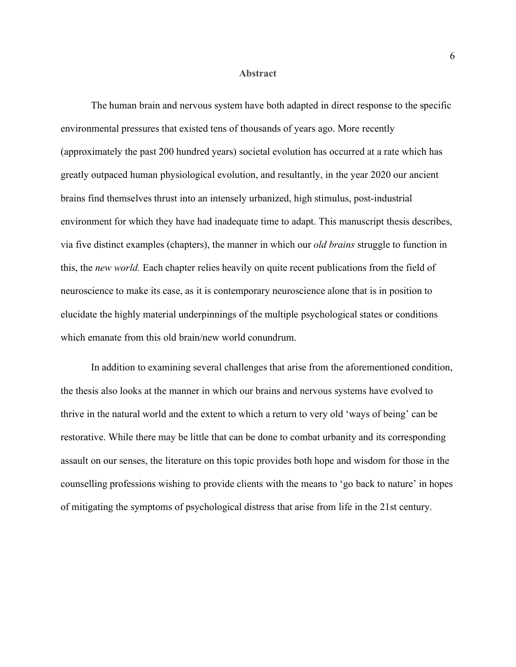#### **Abstract**

The human brain and nervous system have both adapted in direct response to the specific environmental pressures that existed tens of thousands of years ago. More recently (approximately the past 200 hundred years) societal evolution has occurred at a rate which has greatly outpaced human physiological evolution, and resultantly, in the year 2020 our ancient brains find themselves thrust into an intensely urbanized, high stimulus, post-industrial environment for which they have had inadequate time to adapt. This manuscript thesis describes, via five distinct examples (chapters), the manner in which our *old brains* struggle to function in this, the *new world.* Each chapter relies heavily on quite recent publications from the field of neuroscience to make its case, as it is contemporary neuroscience alone that is in position to elucidate the highly material underpinnings of the multiple psychological states or conditions which emanate from this old brain/new world conundrum.

In addition to examining several challenges that arise from the aforementioned condition, the thesis also looks at the manner in which our brains and nervous systems have evolved to thrive in the natural world and the extent to which a return to very old 'ways of being' can be restorative. While there may be little that can be done to combat urbanity and its corresponding assault on our senses, the literature on this topic provides both hope and wisdom for those in the counselling professions wishing to provide clients with the means to 'go back to nature' in hopes of mitigating the symptoms of psychological distress that arise from life in the 21st century.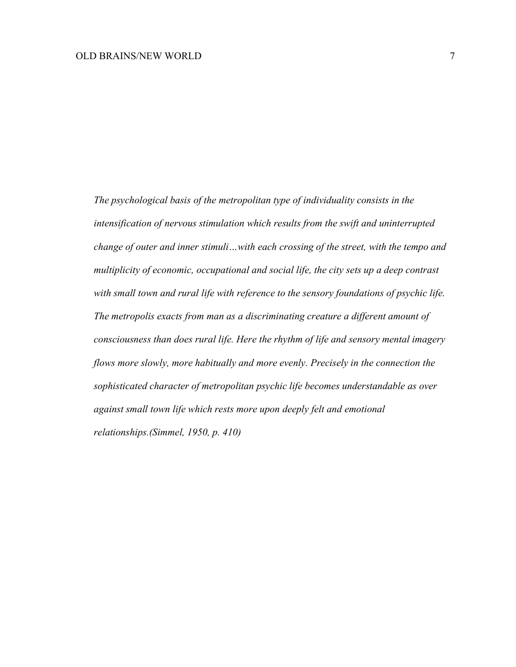*The psychological basis of the metropolitan type of individuality consists in the intensification of nervous stimulation which results from the swift and uninterrupted change of outer and inner stimuli…with each crossing of the street, with the tempo and multiplicity of economic, occupational and social life, the city sets up a deep contrast with small town and rural life with reference to the sensory foundations of psychic life. The metropolis exacts from man as a discriminating creature a different amount of consciousness than does rural life. Here the rhythm of life and sensory mental imagery flows more slowly, more habitually and more evenly. Precisely in the connection the sophisticated character of metropolitan psychic life becomes understandable as over against small town life which rests more upon deeply felt and emotional relationships.(Simmel, 1950, p. 410)*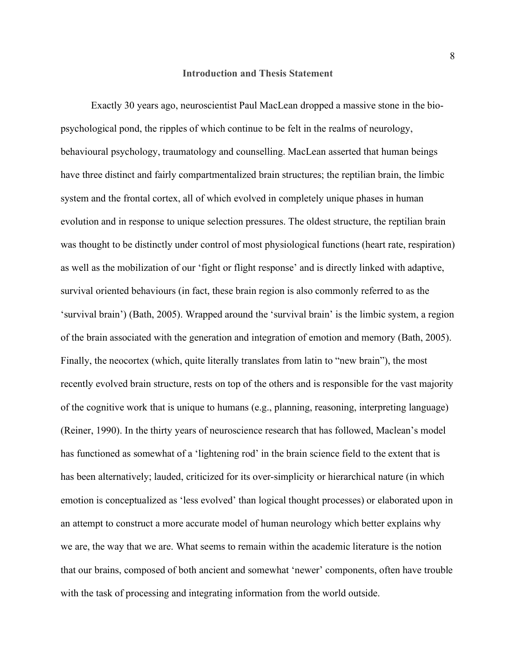#### **Introduction and Thesis Statement**

Exactly 30 years ago, neuroscientist Paul MacLean dropped a massive stone in the biopsychological pond, the ripples of which continue to be felt in the realms of neurology, behavioural psychology, traumatology and counselling. MacLean asserted that human beings have three distinct and fairly compartmentalized brain structures; the reptilian brain, the limbic system and the frontal cortex, all of which evolved in completely unique phases in human evolution and in response to unique selection pressures. The oldest structure, the reptilian brain was thought to be distinctly under control of most physiological functions (heart rate, respiration) as well as the mobilization of our 'fight or flight response' and is directly linked with adaptive, survival oriented behaviours (in fact, these brain region is also commonly referred to as the 'survival brain') (Bath, 2005). Wrapped around the 'survival brain' is the limbic system, a region of the brain associated with the generation and integration of emotion and memory (Bath, 2005). Finally, the neocortex (which, quite literally translates from latin to "new brain"), the most recently evolved brain structure, rests on top of the others and is responsible for the vast majority of the cognitive work that is unique to humans (e.g., planning, reasoning, interpreting language) (Reiner, 1990). In the thirty years of neuroscience research that has followed, Maclean's model has functioned as somewhat of a 'lightening rod' in the brain science field to the extent that is has been alternatively; lauded, criticized for its over-simplicity or hierarchical nature (in which emotion is conceptualized as 'less evolved' than logical thought processes) or elaborated upon in an attempt to construct a more accurate model of human neurology which better explains why we are, the way that we are. What seems to remain within the academic literature is the notion that our brains, composed of both ancient and somewhat 'newer' components, often have trouble with the task of processing and integrating information from the world outside.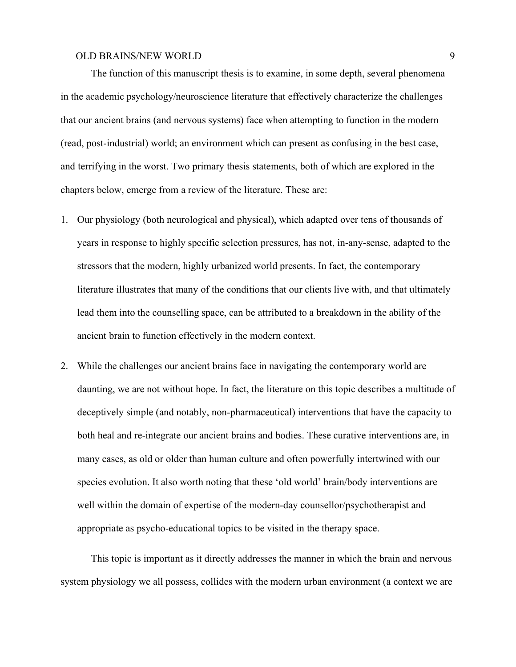The function of this manuscript thesis is to examine, in some depth, several phenomena in the academic psychology/neuroscience literature that effectively characterize the challenges that our ancient brains (and nervous systems) face when attempting to function in the modern (read, post-industrial) world; an environment which can present as confusing in the best case, and terrifying in the worst. Two primary thesis statements, both of which are explored in the chapters below, emerge from a review of the literature. These are:

- 1. Our physiology (both neurological and physical), which adapted over tens of thousands of years in response to highly specific selection pressures, has not, in-any-sense, adapted to the stressors that the modern, highly urbanized world presents. In fact, the contemporary literature illustrates that many of the conditions that our clients live with, and that ultimately lead them into the counselling space, can be attributed to a breakdown in the ability of the ancient brain to function effectively in the modern context.
- 2. While the challenges our ancient brains face in navigating the contemporary world are daunting, we are not without hope. In fact, the literature on this topic describes a multitude of deceptively simple (and notably, non-pharmaceutical) interventions that have the capacity to both heal and re-integrate our ancient brains and bodies. These curative interventions are, in many cases, as old or older than human culture and often powerfully intertwined with our species evolution. It also worth noting that these 'old world' brain/body interventions are well within the domain of expertise of the modern-day counsellor/psychotherapist and appropriate as psycho-educational topics to be visited in the therapy space.

This topic is important as it directly addresses the manner in which the brain and nervous system physiology we all possess, collides with the modern urban environment (a context we are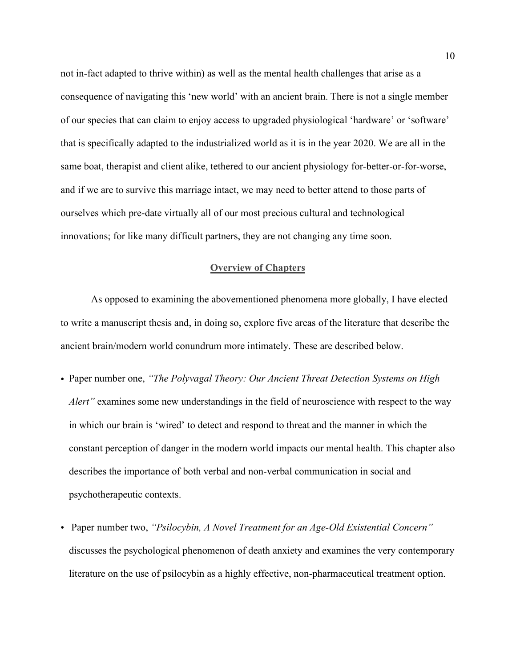not in-fact adapted to thrive within) as well as the mental health challenges that arise as a consequence of navigating this 'new world' with an ancient brain. There is not a single member of our species that can claim to enjoy access to upgraded physiological 'hardware' or 'software' that is specifically adapted to the industrialized world as it is in the year 2020. We are all in the same boat, therapist and client alike, tethered to our ancient physiology for-better-or-for-worse, and if we are to survive this marriage intact, we may need to better attend to those parts of ourselves which pre-date virtually all of our most precious cultural and technological innovations; for like many difficult partners, they are not changing any time soon.

## **Overview of Chapters**

As opposed to examining the abovementioned phenomena more globally, I have elected to write a manuscript thesis and, in doing so, explore five areas of the literature that describe the ancient brain/modern world conundrum more intimately. These are described below.

- Paper number one, *"The Polyvagal Theory: Our Ancient Threat Detection Systems on High Alert*" examines some new understandings in the field of neuroscience with respect to the way in which our brain is 'wired' to detect and respond to threat and the manner in which the constant perception of danger in the modern world impacts our mental health. This chapter also describes the importance of both verbal and non-verbal communication in social and psychotherapeutic contexts.
- Paper number two, *"Psilocybin, A Novel Treatment for an Age-Old Existential Concern"* discusses the psychological phenomenon of death anxiety and examines the very contemporary literature on the use of psilocybin as a highly effective, non-pharmaceutical treatment option.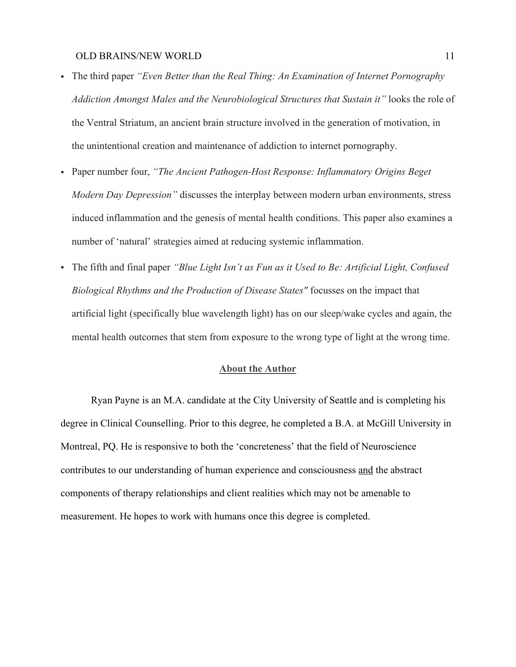- The third paper *"Even Better than the Real Thing: An Examination of Internet Pornography Addiction Amongst Males and the Neurobiological Structures that Sustain it"* looks the role of the Ventral Striatum, an ancient brain structure involved in the generation of motivation, in the unintentional creation and maintenance of addiction to internet pornography.
- Paper number four, *"The Ancient Pathogen-Host Response: Inflammatory Origins Beget Modern Day Depression"* discusses the interplay between modern urban environments, stress induced inflammation and the genesis of mental health conditions. This paper also examines a number of 'natural' strategies aimed at reducing systemic inflammation.
- The fifth and final paper *"Blue Light Isn't as Fun as it Used to Be: Artificial Light, Confused Biological Rhythms and the Production of Disease States"* focusses on the impact that artificial light (specifically blue wavelength light) has on our sleep/wake cycles and again, the mental health outcomes that stem from exposure to the wrong type of light at the wrong time.

## **About the Author**

Ryan Payne is an M.A. candidate at the City University of Seattle and is completing his degree in Clinical Counselling. Prior to this degree, he completed a B.A. at McGill University in Montreal, PQ. He is responsive to both the 'concreteness' that the field of Neuroscience contributes to our understanding of human experience and consciousness and the abstract components of therapy relationships and client realities which may not be amenable to measurement. He hopes to work with humans once this degree is completed.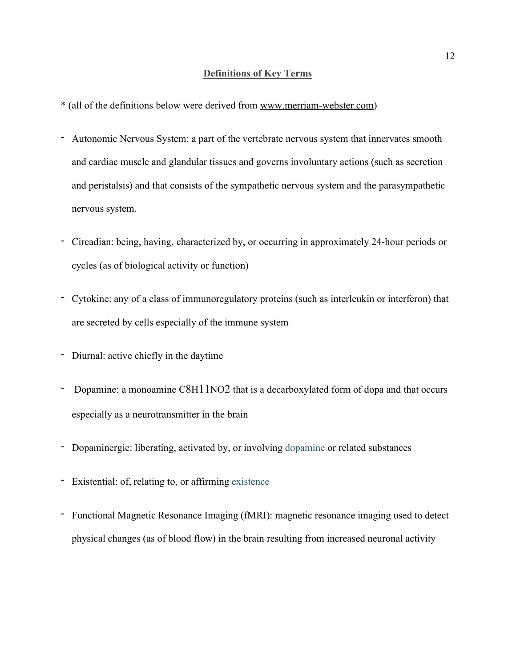## **Definitions of Key Terms**

- \* (all of the definitions below were derived from www.merriam-webster.com)
- Autonomic Nervous System: a part of the vertebrate nervous system that innervates smooth and cardiac muscle and glandular tissues and governs involuntary actions (such as secretion and peristalsis) and that consists of the sympathetic nervous system and the parasympathetic nervous system.
- Circadian: being, having, characterized by, or occurring in approximately 24-hour periods or cycles (as of biological activity or function)
- Cytokine: any of a class of immunoregulatory proteins (such as interleukin or interferon) that are secreted by cells especially of the immune system
- Diurnal: active chiefly in the daytime
- Dopamine: a monoamine C8H11NO2 that is a decarboxylated form of dopa and that occurs especially as a neurotransmitter in the brain
- Dopaminergic: liberating, activated by, or involving dopamine or related substances
- Existential: of, relating to, or affirming existence
- Functional Magnetic Resonance Imaging (fMRI): magnetic resonance imaging used to detect physical changes (as of blood flow) in the brain resulting from increased neuronal activity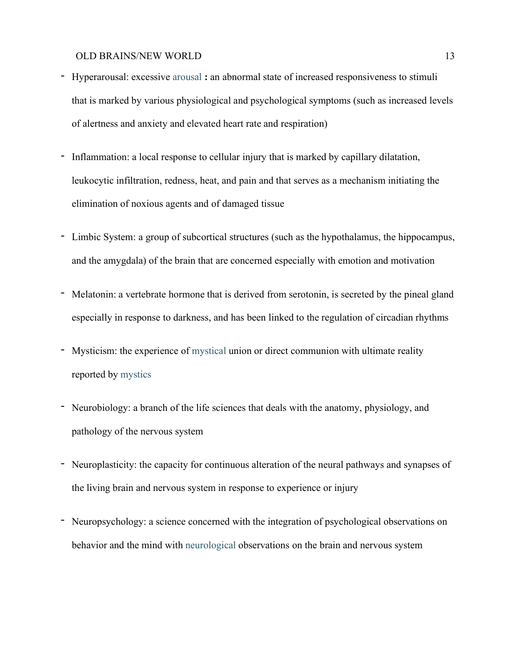- Hyperarousal: excessive arousal **:** an abnormal state of increased responsiveness to stimuli that is marked by various physiological and psychological symptoms (such as increased levels of alertness and anxiety and elevated heart rate and respiration)
- Inflammation: a local response to cellular injury that is marked by capillary dilatation, leukocytic infiltration, redness, heat, and pain and that serves as a mechanism initiating the elimination of noxious agents and of damaged tissue
- Limbic System: a group of subcortical structures (such as the hypothalamus, the hippocampus, and the amygdala) of the brain that are concerned especially with emotion and motivation
- Melatonin: a vertebrate hormone that is derived from serotonin, is secreted by the pineal gland especially in response to darkness, and has been linked to the regulation of circadian rhythms
- Mysticism: the experience of mystical union or direct communion with ultimate reality reported by mystics
- Neurobiology: a branch of the life sciences that deals with the anatomy, physiology, and pathology of the nervous system
- Neuroplasticity: the capacity for continuous alteration of the neural pathways and synapses of the living brain and nervous system in response to experience or injury
- Neuropsychology: a science concerned with the integration of psychological observations on behavior and the mind with neurological observations on the brain and nervous system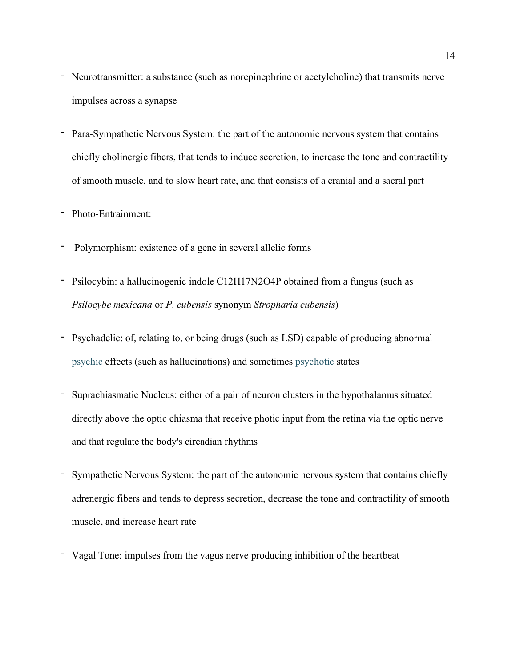- Neurotransmitter: a substance (such as norepinephrine or acetylcholine) that transmits nerve impulses across a synapse
- Para-Sympathetic Nervous System: the part of the autonomic nervous system that contains chiefly cholinergic fibers, that tends to induce secretion, to increase the tone and contractility of smooth muscle, and to slow heart rate, and that consists of a cranial and a sacral part

# - Photo-Entrainment:

- Polymorphism: existence of a gene in several allelic forms
- Psilocybin: a hallucinogenic indole C12H17N2O4P obtained from a fungus (such as *Psilocybe mexicana* or *P. cubensis* synonym *Stropharia cubensis*)
- Psychadelic: of, relating to, or being drugs (such as LSD) capable of producing abnormal psychic effects (such as hallucinations) and sometimes psychotic states
- Suprachiasmatic Nucleus: either of a pair of neuron clusters in the hypothalamus situated directly above the optic chiasma that receive photic input from the retina via the optic nerve and that regulate the body's circadian rhythms
- Sympathetic Nervous System: the part of the autonomic nervous system that contains chiefly adrenergic fibers and tends to depress secretion, decrease the tone and contractility of smooth muscle, and increase heart rate
- Vagal Tone: impulses from the vagus nerve producing inhibition of the heartbeat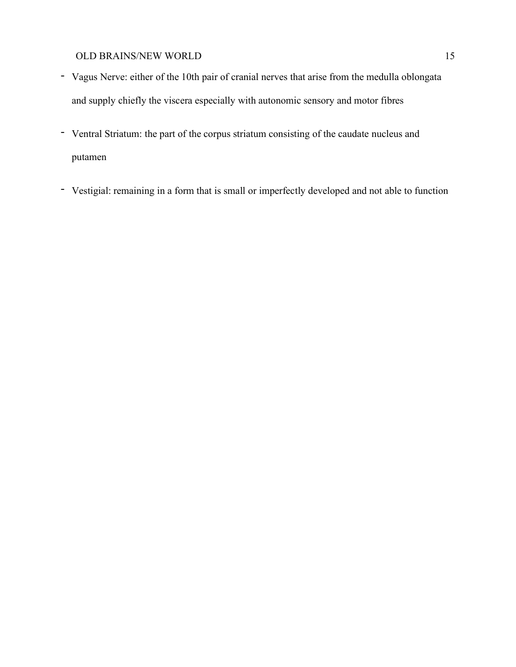- Vagus Nerve: either of the 10th pair of cranial nerves that arise from the medulla oblongata and supply chiefly the viscera especially with autonomic sensory and motor fibres
- Ventral Striatum: the part of the corpus striatum consisting of the caudate nucleus and putamen
- Vestigial: remaining in a form that is small or imperfectly developed and not able to function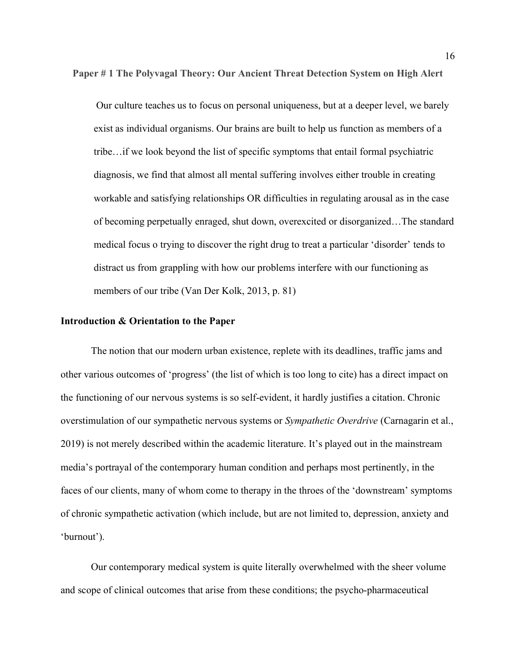**Paper # 1 The Polyvagal Theory: Our Ancient Threat Detection System on High Alert**

Our culture teaches us to focus on personal uniqueness, but at a deeper level, we barely exist as individual organisms. Our brains are built to help us function as members of a tribe…if we look beyond the list of specific symptoms that entail formal psychiatric diagnosis, we find that almost all mental suffering involves either trouble in creating workable and satisfying relationships OR difficulties in regulating arousal as in the case of becoming perpetually enraged, shut down, overexcited or disorganized…The standard medical focus o trying to discover the right drug to treat a particular 'disorder' tends to distract us from grappling with how our problems interfere with our functioning as members of our tribe (Van Der Kolk, 2013, p. 81)

#### **Introduction & Orientation to the Paper**

The notion that our modern urban existence, replete with its deadlines, traffic jams and other various outcomes of 'progress' (the list of which is too long to cite) has a direct impact on the functioning of our nervous systems is so self-evident, it hardly justifies a citation. Chronic overstimulation of our sympathetic nervous systems or *Sympathetic Overdrive* (Carnagarin et al., 2019) is not merely described within the academic literature. It's played out in the mainstream media's portrayal of the contemporary human condition and perhaps most pertinently, in the faces of our clients, many of whom come to therapy in the throes of the 'downstream' symptoms of chronic sympathetic activation (which include, but are not limited to, depression, anxiety and 'burnout').

Our contemporary medical system is quite literally overwhelmed with the sheer volume and scope of clinical outcomes that arise from these conditions; the psycho-pharmaceutical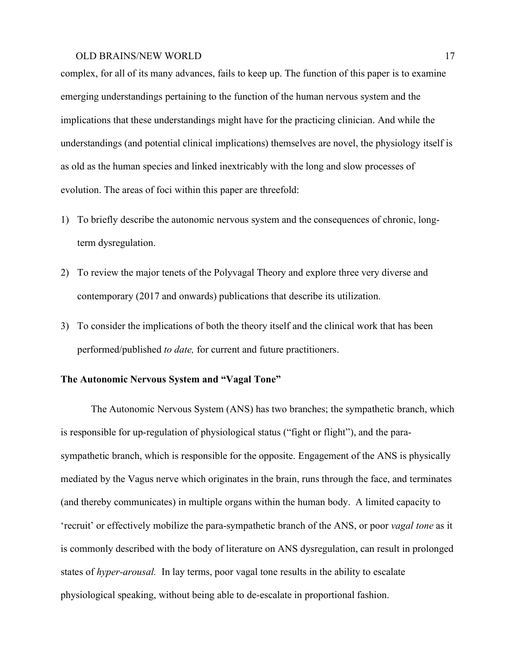complex, for all of its many advances, fails to keep up. The function of this paper is to examine emerging understandings pertaining to the function of the human nervous system and the implications that these understandings might have for the practicing clinician. And while the understandings (and potential clinical implications) themselves are novel, the physiology itself is as old as the human species and linked inextricably with the long and slow processes of evolution. The areas of foci within this paper are threefold:

- 1) To briefly describe the autonomic nervous system and the consequences of chronic, longterm dysregulation.
- 2) To review the major tenets of the Polyvagal Theory and explore three very diverse and contemporary (2017 and onwards) publications that describe its utilization.
- 3) To consider the implications of both the theory itself and the clinical work that has been performed/published *to date,* for current and future practitioners.

## **The Autonomic Nervous System and "Vagal Tone"**

The Autonomic Nervous System (ANS) has two branches; the sympathetic branch, which is responsible for up-regulation of physiological status ("fight or flight"), and the parasympathetic branch, which is responsible for the opposite. Engagement of the ANS is physically mediated by the Vagus nerve which originates in the brain, runs through the face, and terminates (and thereby communicates) in multiple organs within the human body. A limited capacity to 'recruit' or effectively mobilize the para-sympathetic branch of the ANS, or poor *vagal tone* as it is commonly described with the body of literature on ANS dysregulation, can result in prolonged states of *hyper-arousal.* In lay terms, poor vagal tone results in the ability to escalate physiological speaking, without being able to de-escalate in proportional fashion.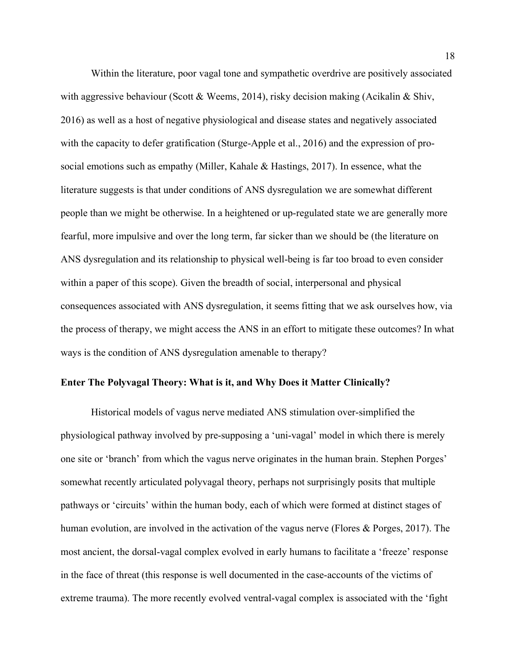Within the literature, poor vagal tone and sympathetic overdrive are positively associated with aggressive behaviour (Scott & Weems, 2014), risky decision making (Acikalin & Shiv, 2016) as well as a host of negative physiological and disease states and negatively associated with the capacity to defer gratification (Sturge-Apple et al., 2016) and the expression of prosocial emotions such as empathy (Miller, Kahale & Hastings, 2017). In essence, what the literature suggests is that under conditions of ANS dysregulation we are somewhat different people than we might be otherwise. In a heightened or up-regulated state we are generally more fearful, more impulsive and over the long term, far sicker than we should be (the literature on ANS dysregulation and its relationship to physical well-being is far too broad to even consider within a paper of this scope). Given the breadth of social, interpersonal and physical consequences associated with ANS dysregulation, it seems fitting that we ask ourselves how, via the process of therapy, we might access the ANS in an effort to mitigate these outcomes? In what ways is the condition of ANS dysregulation amenable to therapy?

## **Enter The Polyvagal Theory: What is it, and Why Does it Matter Clinically?**

Historical models of vagus nerve mediated ANS stimulation over-simplified the physiological pathway involved by pre-supposing a 'uni-vagal' model in which there is merely one site or 'branch' from which the vagus nerve originates in the human brain. Stephen Porges' somewhat recently articulated polyvagal theory, perhaps not surprisingly posits that multiple pathways or 'circuits' within the human body, each of which were formed at distinct stages of human evolution, are involved in the activation of the vagus nerve (Flores & Porges, 2017). The most ancient, the dorsal-vagal complex evolved in early humans to facilitate a 'freeze' response in the face of threat (this response is well documented in the case-accounts of the victims of extreme trauma). The more recently evolved ventral-vagal complex is associated with the 'fight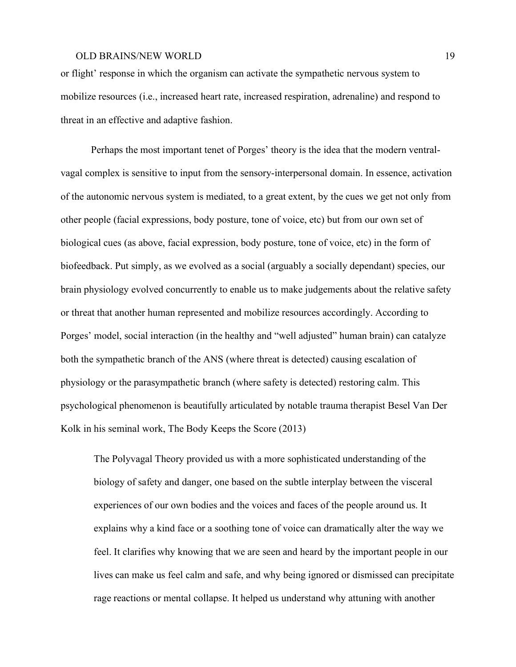or flight' response in which the organism can activate the sympathetic nervous system to mobilize resources (i.e., increased heart rate, increased respiration, adrenaline) and respond to threat in an effective and adaptive fashion.

Perhaps the most important tenet of Porges' theory is the idea that the modern ventralvagal complex is sensitive to input from the sensory-interpersonal domain. In essence, activation of the autonomic nervous system is mediated, to a great extent, by the cues we get not only from other people (facial expressions, body posture, tone of voice, etc) but from our own set of biological cues (as above, facial expression, body posture, tone of voice, etc) in the form of biofeedback. Put simply, as we evolved as a social (arguably a socially dependant) species, our brain physiology evolved concurrently to enable us to make judgements about the relative safety or threat that another human represented and mobilize resources accordingly. According to Porges' model, social interaction (in the healthy and "well adjusted" human brain) can catalyze both the sympathetic branch of the ANS (where threat is detected) causing escalation of physiology or the parasympathetic branch (where safety is detected) restoring calm. This psychological phenomenon is beautifully articulated by notable trauma therapist Besel Van Der Kolk in his seminal work, The Body Keeps the Score (2013)

The Polyvagal Theory provided us with a more sophisticated understanding of the biology of safety and danger, one based on the subtle interplay between the visceral experiences of our own bodies and the voices and faces of the people around us. It explains why a kind face or a soothing tone of voice can dramatically alter the way we feel. It clarifies why knowing that we are seen and heard by the important people in our lives can make us feel calm and safe, and why being ignored or dismissed can precipitate rage reactions or mental collapse. It helped us understand why attuning with another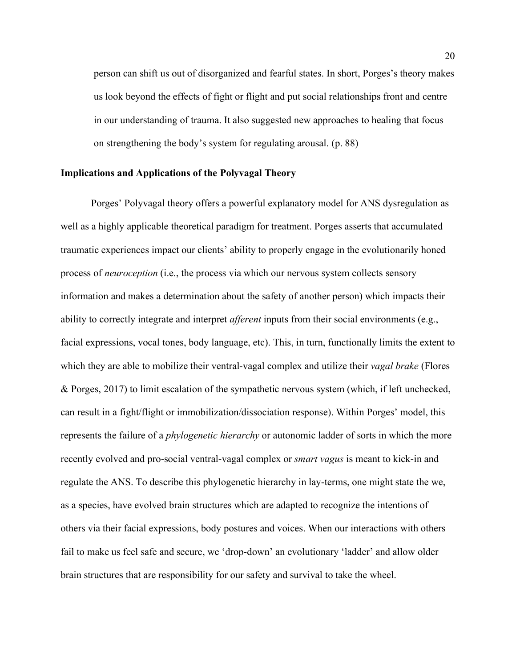person can shift us out of disorganized and fearful states. In short, Porges's theory makes us look beyond the effects of fight or flight and put social relationships front and centre in our understanding of trauma. It also suggested new approaches to healing that focus on strengthening the body's system for regulating arousal. (p. 88)

## **Implications and Applications of the Polyvagal Theory**

Porges' Polyvagal theory offers a powerful explanatory model for ANS dysregulation as well as a highly applicable theoretical paradigm for treatment. Porges asserts that accumulated traumatic experiences impact our clients' ability to properly engage in the evolutionarily honed process of *neuroception* (i.e., the process via which our nervous system collects sensory information and makes a determination about the safety of another person) which impacts their ability to correctly integrate and interpret *afferent* inputs from their social environments (e.g., facial expressions, vocal tones, body language, etc). This, in turn, functionally limits the extent to which they are able to mobilize their ventral-vagal complex and utilize their *vagal brake* (Flores & Porges, 2017) to limit escalation of the sympathetic nervous system (which, if left unchecked, can result in a fight/flight or immobilization/dissociation response). Within Porges' model, this represents the failure of a *phylogenetic hierarchy* or autonomic ladder of sorts in which the more recently evolved and pro-social ventral-vagal complex or *smart vagus* is meant to kick-in and regulate the ANS. To describe this phylogenetic hierarchy in lay-terms, one might state the we, as a species, have evolved brain structures which are adapted to recognize the intentions of others via their facial expressions, body postures and voices. When our interactions with others fail to make us feel safe and secure, we 'drop-down' an evolutionary 'ladder' and allow older brain structures that are responsibility for our safety and survival to take the wheel.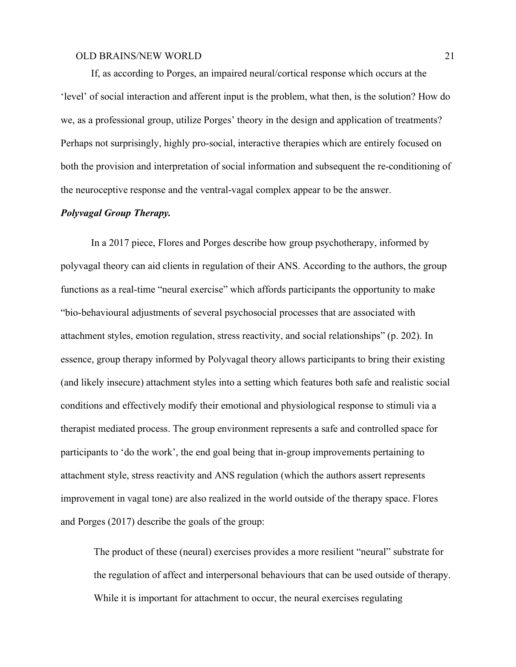If, as according to Porges, an impaired neural/cortical response which occurs at the 'level' of social interaction and afferent input is the problem, what then, is the solution? How do we, as a professional group, utilize Porges' theory in the design and application of treatments? Perhaps not surprisingly, highly pro-social, interactive therapies which are entirely focused on both the provision and interpretation of social information and subsequent the re-conditioning of the neuroceptive response and the ventral-vagal complex appear to be the answer.

## *Polyvagal Group Therapy.*

In a 2017 piece, Flores and Porges describe how group psychotherapy, informed by polyvagal theory can aid clients in regulation of their ANS. According to the authors, the group functions as a real-time "neural exercise" which affords participants the opportunity to make "bio-behavioural adjustments of several psychosocial processes that are associated with attachment styles, emotion regulation, stress reactivity, and social relationships" (p. 202). In essence, group therapy informed by Polyvagal theory allows participants to bring their existing (and likely insecure) attachment styles into a setting which features both safe and realistic social conditions and effectively modify their emotional and physiological response to stimuli via a therapist mediated process. The group environment represents a safe and controlled space for participants to 'do the work', the end goal being that in-group improvements pertaining to attachment style, stress reactivity and ANS regulation (which the authors assert represents improvement in vagal tone) are also realized in the world outside of the therapy space. Flores and Porges (2017) describe the goals of the group:

The product of these (neural) exercises provides a more resilient "neural" substrate for the regulation of affect and interpersonal behaviours that can be used outside of therapy. While it is important for attachment to occur, the neural exercises regulating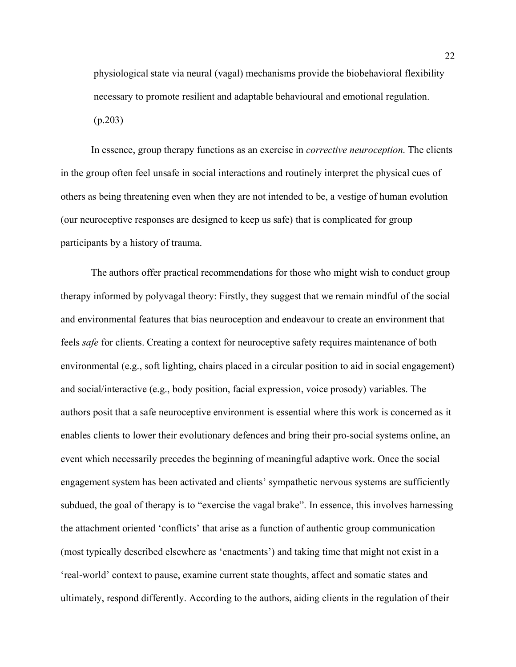physiological state via neural (vagal) mechanisms provide the biobehavioral flexibility necessary to promote resilient and adaptable behavioural and emotional regulation. (p.203)

In essence, group therapy functions as an exercise in *corrective neuroception*. The clients in the group often feel unsafe in social interactions and routinely interpret the physical cues of others as being threatening even when they are not intended to be, a vestige of human evolution (our neuroceptive responses are designed to keep us safe) that is complicated for group participants by a history of trauma.

The authors offer practical recommendations for those who might wish to conduct group therapy informed by polyvagal theory: Firstly, they suggest that we remain mindful of the social and environmental features that bias neuroception and endeavour to create an environment that feels *safe* for clients. Creating a context for neuroceptive safety requires maintenance of both environmental (e.g., soft lighting, chairs placed in a circular position to aid in social engagement) and social/interactive (e.g., body position, facial expression, voice prosody) variables. The authors posit that a safe neuroceptive environment is essential where this work is concerned as it enables clients to lower their evolutionary defences and bring their pro-social systems online, an event which necessarily precedes the beginning of meaningful adaptive work. Once the social engagement system has been activated and clients' sympathetic nervous systems are sufficiently subdued, the goal of therapy is to "exercise the vagal brake". In essence, this involves harnessing the attachment oriented 'conflicts' that arise as a function of authentic group communication (most typically described elsewhere as 'enactments') and taking time that might not exist in a 'real-world' context to pause, examine current state thoughts, affect and somatic states and ultimately, respond differently. According to the authors, aiding clients in the regulation of their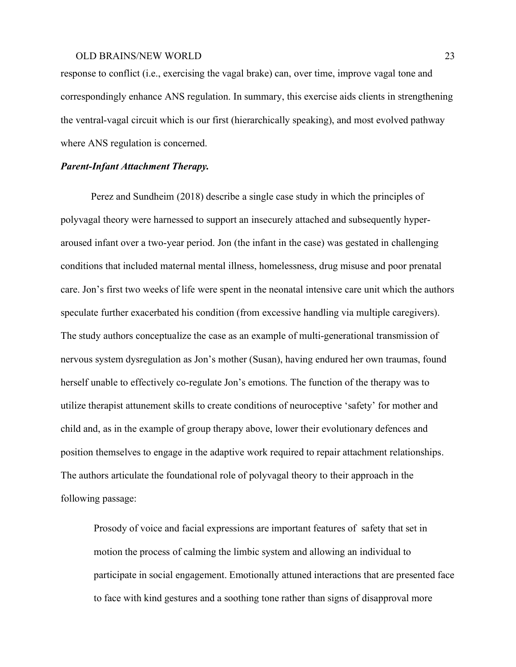response to conflict (i.e., exercising the vagal brake) can, over time, improve vagal tone and correspondingly enhance ANS regulation. In summary, this exercise aids clients in strengthening the ventral-vagal circuit which is our first (hierarchically speaking), and most evolved pathway where ANS regulation is concerned.

## *Parent-Infant Attachment Therapy.*

Perez and Sundheim (2018) describe a single case study in which the principles of polyvagal theory were harnessed to support an insecurely attached and subsequently hyperaroused infant over a two-year period. Jon (the infant in the case) was gestated in challenging conditions that included maternal mental illness, homelessness, drug misuse and poor prenatal care. Jon's first two weeks of life were spent in the neonatal intensive care unit which the authors speculate further exacerbated his condition (from excessive handling via multiple caregivers). The study authors conceptualize the case as an example of multi-generational transmission of nervous system dysregulation as Jon's mother (Susan), having endured her own traumas, found herself unable to effectively co-regulate Jon's emotions. The function of the therapy was to utilize therapist attunement skills to create conditions of neuroceptive 'safety' for mother and child and, as in the example of group therapy above, lower their evolutionary defences and position themselves to engage in the adaptive work required to repair attachment relationships. The authors articulate the foundational role of polyvagal theory to their approach in the following passage:

Prosody of voice and facial expressions are important features of safety that set in motion the process of calming the limbic system and allowing an individual to participate in social engagement. Emotionally attuned interactions that are presented face to face with kind gestures and a soothing tone rather than signs of disapproval more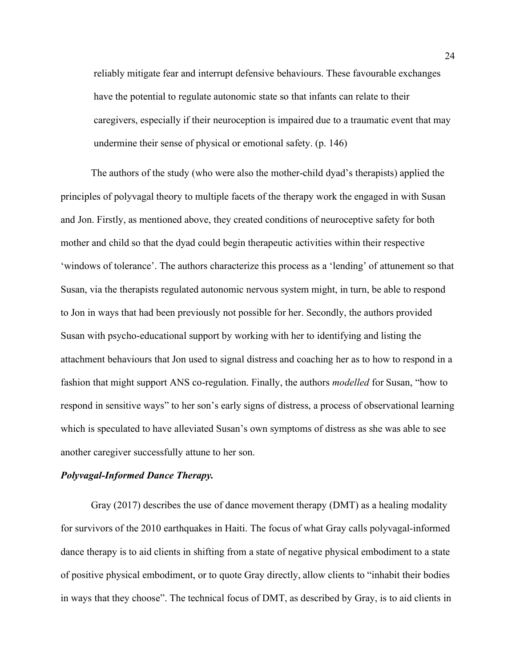reliably mitigate fear and interrupt defensive behaviours. These favourable exchanges have the potential to regulate autonomic state so that infants can relate to their caregivers, especially if their neuroception is impaired due to a traumatic event that may undermine their sense of physical or emotional safety. (p. 146)

The authors of the study (who were also the mother-child dyad's therapists) applied the principles of polyvagal theory to multiple facets of the therapy work the engaged in with Susan and Jon. Firstly, as mentioned above, they created conditions of neuroceptive safety for both mother and child so that the dyad could begin therapeutic activities within their respective 'windows of tolerance'. The authors characterize this process as a 'lending' of attunement so that Susan, via the therapists regulated autonomic nervous system might, in turn, be able to respond to Jon in ways that had been previously not possible for her. Secondly, the authors provided Susan with psycho-educational support by working with her to identifying and listing the attachment behaviours that Jon used to signal distress and coaching her as to how to respond in a fashion that might support ANS co-regulation. Finally, the authors *modelled* for Susan, "how to respond in sensitive ways" to her son's early signs of distress, a process of observational learning which is speculated to have alleviated Susan's own symptoms of distress as she was able to see another caregiver successfully attune to her son.

## *Polyvagal-Informed Dance Therapy.*

Gray (2017) describes the use of dance movement therapy (DMT) as a healing modality for survivors of the 2010 earthquakes in Haiti. The focus of what Gray calls polyvagal-informed dance therapy is to aid clients in shifting from a state of negative physical embodiment to a state of positive physical embodiment, or to quote Gray directly, allow clients to "inhabit their bodies in ways that they choose". The technical focus of DMT, as described by Gray, is to aid clients in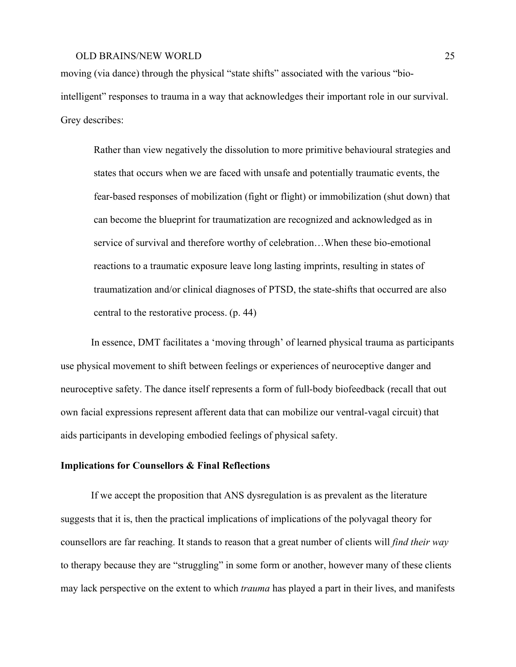moving (via dance) through the physical "state shifts" associated with the various "biointelligent" responses to trauma in a way that acknowledges their important role in our survival. Grey describes:

Rather than view negatively the dissolution to more primitive behavioural strategies and states that occurs when we are faced with unsafe and potentially traumatic events, the fear-based responses of mobilization (fight or flight) or immobilization (shut down) that can become the blueprint for traumatization are recognized and acknowledged as in service of survival and therefore worthy of celebration…When these bio-emotional reactions to a traumatic exposure leave long lasting imprints, resulting in states of traumatization and/or clinical diagnoses of PTSD, the state-shifts that occurred are also central to the restorative process. (p. 44)

In essence, DMT facilitates a 'moving through' of learned physical trauma as participants use physical movement to shift between feelings or experiences of neuroceptive danger and neuroceptive safety. The dance itself represents a form of full-body biofeedback (recall that out own facial expressions represent afferent data that can mobilize our ventral-vagal circuit) that aids participants in developing embodied feelings of physical safety.

## **Implications for Counsellors & Final Reflections**

If we accept the proposition that ANS dysregulation is as prevalent as the literature suggests that it is, then the practical implications of implications of the polyvagal theory for counsellors are far reaching. It stands to reason that a great number of clients will *find their way* to therapy because they are "struggling" in some form or another, however many of these clients may lack perspective on the extent to which *trauma* has played a part in their lives, and manifests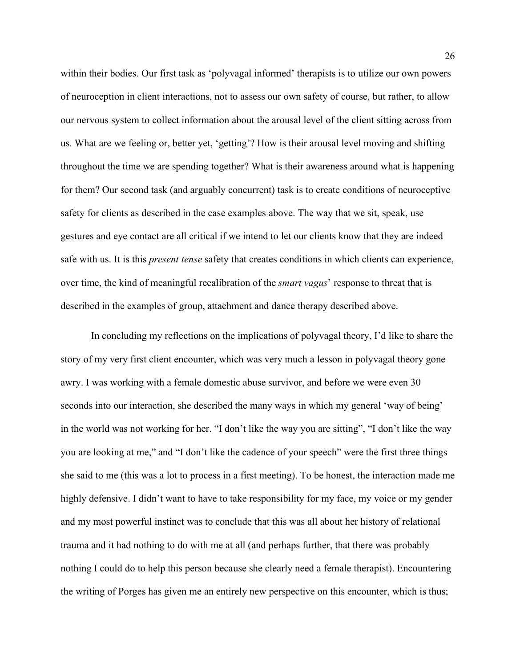within their bodies. Our first task as 'polyvagal informed' therapists is to utilize our own powers of neuroception in client interactions, not to assess our own safety of course, but rather, to allow our nervous system to collect information about the arousal level of the client sitting across from us. What are we feeling or, better yet, 'getting'? How is their arousal level moving and shifting throughout the time we are spending together? What is their awareness around what is happening for them? Our second task (and arguably concurrent) task is to create conditions of neuroceptive safety for clients as described in the case examples above. The way that we sit, speak, use gestures and eye contact are all critical if we intend to let our clients know that they are indeed safe with us. It is this *present tense* safety that creates conditions in which clients can experience, over time, the kind of meaningful recalibration of the *smart vagus*' response to threat that is described in the examples of group, attachment and dance therapy described above.

In concluding my reflections on the implications of polyvagal theory, I'd like to share the story of my very first client encounter, which was very much a lesson in polyvagal theory gone awry. I was working with a female domestic abuse survivor, and before we were even 30 seconds into our interaction, she described the many ways in which my general 'way of being' in the world was not working for her. "I don't like the way you are sitting", "I don't like the way you are looking at me," and "I don't like the cadence of your speech" were the first three things she said to me (this was a lot to process in a first meeting). To be honest, the interaction made me highly defensive. I didn't want to have to take responsibility for my face, my voice or my gender and my most powerful instinct was to conclude that this was all about her history of relational trauma and it had nothing to do with me at all (and perhaps further, that there was probably nothing I could do to help this person because she clearly need a female therapist). Encountering the writing of Porges has given me an entirely new perspective on this encounter, which is thus;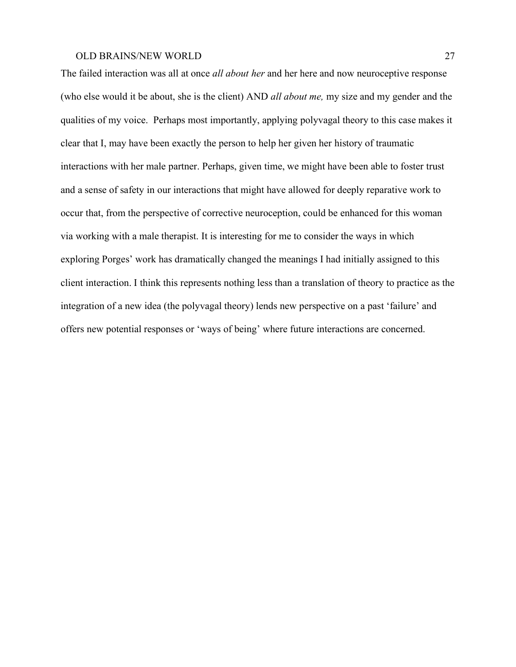The failed interaction was all at once *all about her* and her here and now neuroceptive response (who else would it be about, she is the client) AND *all about me,* my size and my gender and the qualities of my voice. Perhaps most importantly, applying polyvagal theory to this case makes it clear that I, may have been exactly the person to help her given her history of traumatic interactions with her male partner. Perhaps, given time, we might have been able to foster trust and a sense of safety in our interactions that might have allowed for deeply reparative work to occur that, from the perspective of corrective neuroception, could be enhanced for this woman via working with a male therapist. It is interesting for me to consider the ways in which exploring Porges' work has dramatically changed the meanings I had initially assigned to this client interaction. I think this represents nothing less than a translation of theory to practice as the integration of a new idea (the polyvagal theory) lends new perspective on a past 'failure' and offers new potential responses or 'ways of being' where future interactions are concerned.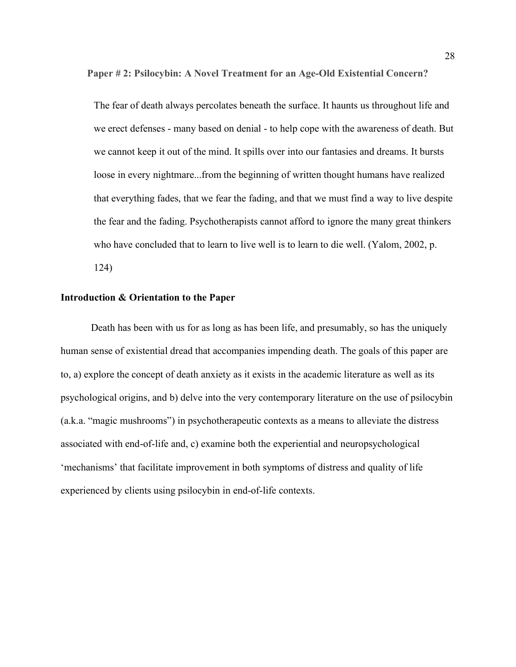**Paper # 2: Psilocybin: A Novel Treatment for an Age-Old Existential Concern?**

The fear of death always percolates beneath the surface. It haunts us throughout life and we erect defenses - many based on denial - to help cope with the awareness of death. But we cannot keep it out of the mind. It spills over into our fantasies and dreams. It bursts loose in every nightmare...from the beginning of written thought humans have realized that everything fades, that we fear the fading, and that we must find a way to live despite the fear and the fading. Psychotherapists cannot afford to ignore the many great thinkers who have concluded that to learn to live well is to learn to die well. (Yalom, 2002, p. 124)

#### **Introduction & Orientation to the Paper**

Death has been with us for as long as has been life, and presumably, so has the uniquely human sense of existential dread that accompanies impending death. The goals of this paper are to, a) explore the concept of death anxiety as it exists in the academic literature as well as its psychological origins, and b) delve into the very contemporary literature on the use of psilocybin (a.k.a. "magic mushrooms") in psychotherapeutic contexts as a means to alleviate the distress associated with end-of-life and, c) examine both the experiential and neuropsychological 'mechanisms' that facilitate improvement in both symptoms of distress and quality of life experienced by clients using psilocybin in end-of-life contexts.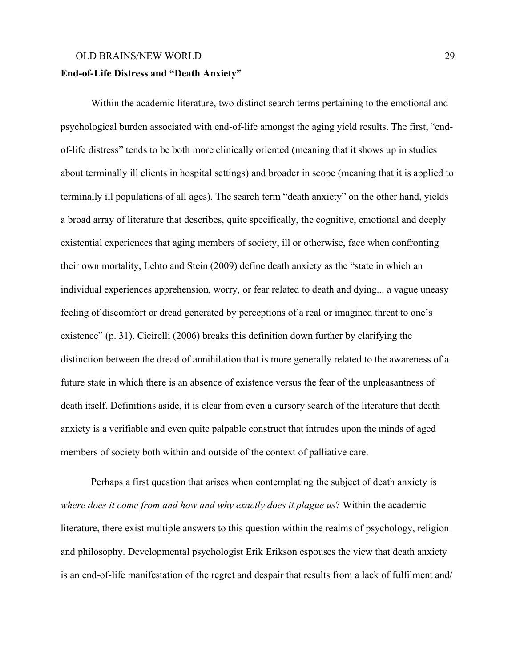#### **End-of-Life Distress and "Death Anxiety"**

Within the academic literature, two distinct search terms pertaining to the emotional and psychological burden associated with end-of-life amongst the aging yield results. The first, "endof-life distress" tends to be both more clinically oriented (meaning that it shows up in studies about terminally ill clients in hospital settings) and broader in scope (meaning that it is applied to terminally ill populations of all ages). The search term "death anxiety" on the other hand, yields a broad array of literature that describes, quite specifically, the cognitive, emotional and deeply existential experiences that aging members of society, ill or otherwise, face when confronting their own mortality, Lehto and Stein (2009) define death anxiety as the "state in which an individual experiences apprehension, worry, or fear related to death and dying... a vague uneasy feeling of discomfort or dread generated by perceptions of a real or imagined threat to one's existence" (p. 31). Cicirelli (2006) breaks this definition down further by clarifying the distinction between the dread of annihilation that is more generally related to the awareness of a future state in which there is an absence of existence versus the fear of the unpleasantness of death itself. Definitions aside, it is clear from even a cursory search of the literature that death anxiety is a verifiable and even quite palpable construct that intrudes upon the minds of aged members of society both within and outside of the context of palliative care.

Perhaps a first question that arises when contemplating the subject of death anxiety is *where does it come from and how and why exactly does it plague us*? Within the academic literature, there exist multiple answers to this question within the realms of psychology, religion and philosophy. Developmental psychologist Erik Erikson espouses the view that death anxiety is an end-of-life manifestation of the regret and despair that results from a lack of fulfilment and/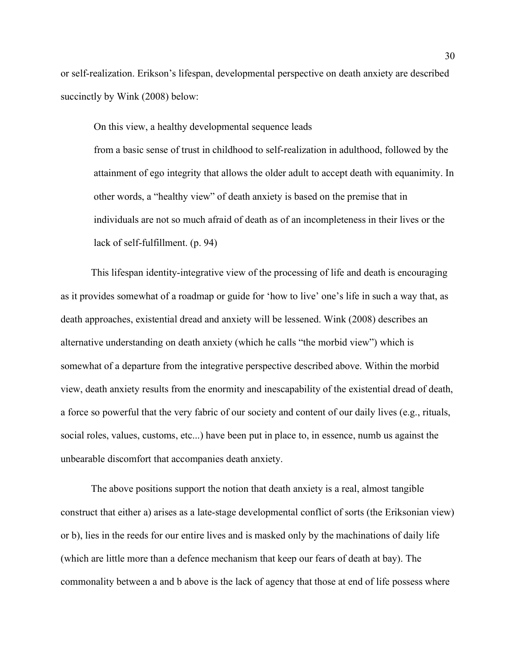or self-realization. Erikson's lifespan, developmental perspective on death anxiety are described succinctly by Wink (2008) below:

On this view, a healthy developmental sequence leads

from a basic sense of trust in childhood to self-realization in adulthood, followed by the attainment of ego integrity that allows the older adult to accept death with equanimity. In other words, a "healthy view" of death anxiety is based on the premise that in individuals are not so much afraid of death as of an incompleteness in their lives or the lack of self-fulfillment. (p. 94)

This lifespan identity-integrative view of the processing of life and death is encouraging as it provides somewhat of a roadmap or guide for 'how to live' one's life in such a way that, as death approaches, existential dread and anxiety will be lessened. Wink (2008) describes an alternative understanding on death anxiety (which he calls "the morbid view") which is somewhat of a departure from the integrative perspective described above. Within the morbid view, death anxiety results from the enormity and inescapability of the existential dread of death, a force so powerful that the very fabric of our society and content of our daily lives (e.g., rituals, social roles, values, customs, etc...) have been put in place to, in essence, numb us against the unbearable discomfort that accompanies death anxiety.

The above positions support the notion that death anxiety is a real, almost tangible construct that either a) arises as a late-stage developmental conflict of sorts (the Eriksonian view) or b), lies in the reeds for our entire lives and is masked only by the machinations of daily life (which are little more than a defence mechanism that keep our fears of death at bay). The commonality between a and b above is the lack of agency that those at end of life possess where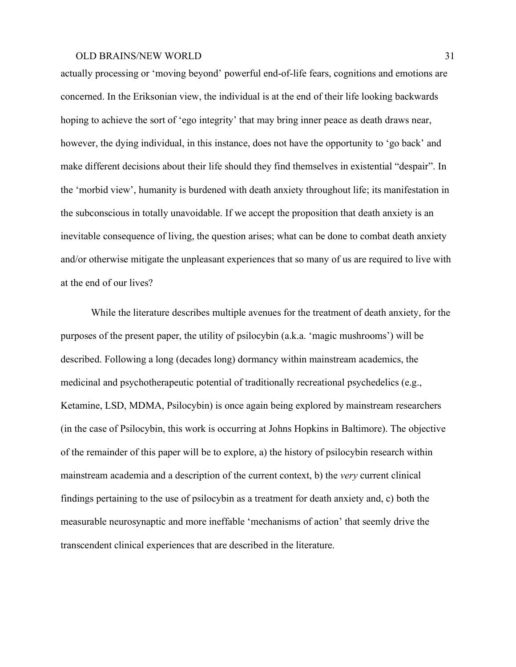actually processing or 'moving beyond' powerful end-of-life fears, cognitions and emotions are concerned. In the Eriksonian view, the individual is at the end of their life looking backwards hoping to achieve the sort of 'ego integrity' that may bring inner peace as death draws near, however, the dying individual, in this instance, does not have the opportunity to 'go back' and make different decisions about their life should they find themselves in existential "despair". In the 'morbid view', humanity is burdened with death anxiety throughout life; its manifestation in the subconscious in totally unavoidable. If we accept the proposition that death anxiety is an inevitable consequence of living, the question arises; what can be done to combat death anxiety and/or otherwise mitigate the unpleasant experiences that so many of us are required to live with at the end of our lives?

While the literature describes multiple avenues for the treatment of death anxiety, for the purposes of the present paper, the utility of psilocybin (a.k.a. 'magic mushrooms') will be described. Following a long (decades long) dormancy within mainstream academics, the medicinal and psychotherapeutic potential of traditionally recreational psychedelics (e.g., Ketamine, LSD, MDMA, Psilocybin) is once again being explored by mainstream researchers (in the case of Psilocybin, this work is occurring at Johns Hopkins in Baltimore). The objective of the remainder of this paper will be to explore, a) the history of psilocybin research within mainstream academia and a description of the current context, b) the *very* current clinical findings pertaining to the use of psilocybin as a treatment for death anxiety and, c) both the measurable neurosynaptic and more ineffable 'mechanisms of action' that seemly drive the transcendent clinical experiences that are described in the literature.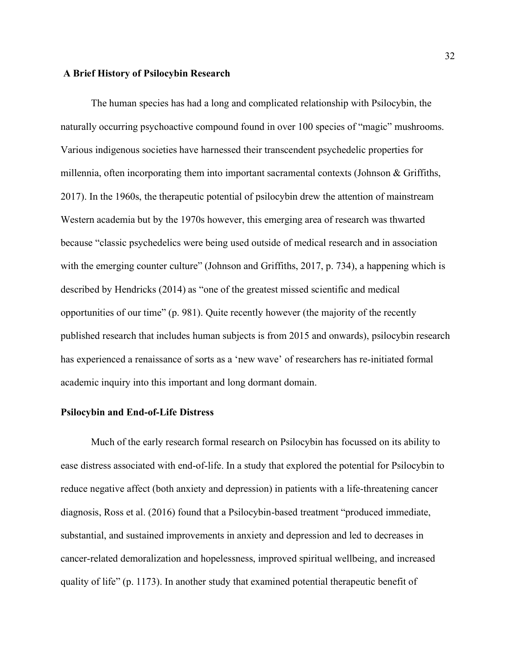#### **A Brief History of Psilocybin Research**

The human species has had a long and complicated relationship with Psilocybin, the naturally occurring psychoactive compound found in over 100 species of "magic" mushrooms. Various indigenous societies have harnessed their transcendent psychedelic properties for millennia, often incorporating them into important sacramental contexts (Johnson  $\&$  Griffiths, 2017). In the 1960s, the therapeutic potential of psilocybin drew the attention of mainstream Western academia but by the 1970s however, this emerging area of research was thwarted because "classic psychedelics were being used outside of medical research and in association with the emerging counter culture" (Johnson and Griffiths, 2017, p. 734), a happening which is described by Hendricks (2014) as "one of the greatest missed scientific and medical opportunities of our time" (p. 981). Quite recently however (the majority of the recently published research that includes human subjects is from 2015 and onwards), psilocybin research has experienced a renaissance of sorts as a 'new wave' of researchers has re-initiated formal academic inquiry into this important and long dormant domain.

## **Psilocybin and End-of-Life Distress**

Much of the early research formal research on Psilocybin has focussed on its ability to ease distress associated with end-of-life. In a study that explored the potential for Psilocybin to reduce negative affect (both anxiety and depression) in patients with a life-threatening cancer diagnosis, Ross et al. (2016) found that a Psilocybin-based treatment "produced immediate, substantial, and sustained improvements in anxiety and depression and led to decreases in cancer-related demoralization and hopelessness, improved spiritual wellbeing, and increased quality of life" (p. 1173). In another study that examined potential therapeutic benefit of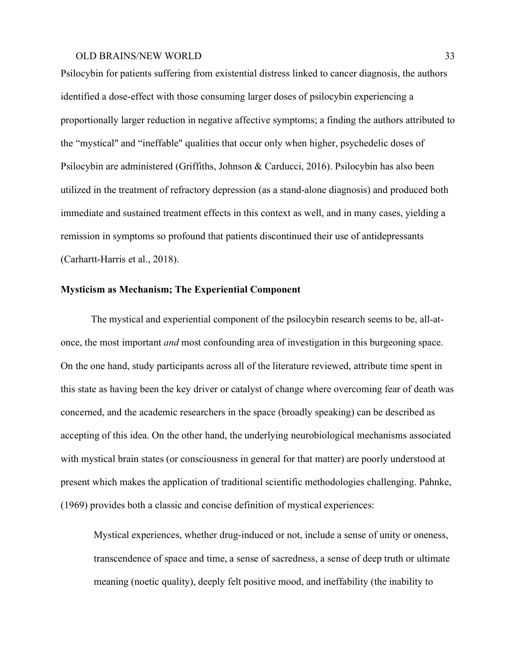Psilocybin for patients suffering from existential distress linked to cancer diagnosis, the authors identified a dose-effect with those consuming larger doses of psilocybin experiencing a proportionally larger reduction in negative affective symptoms; a finding the authors attributed to the "mystical" and "ineffable" qualities that occur only when higher, psychedelic doses of Psilocybin are administered (Griffiths, Johnson & Carducci, 2016). Psilocybin has also been utilized in the treatment of refractory depression (as a stand-alone diagnosis) and produced both immediate and sustained treatment effects in this context as well, and in many cases, yielding a remission in symptoms so profound that patients discontinued their use of antidepressants (Carhartt-Harris et al., 2018).

## **Mysticism as Mechanism; The Experiential Component**

The mystical and experiential component of the psilocybin research seems to be, all-atonce, the most important *and* most confounding area of investigation in this burgeoning space. On the one hand, study participants across all of the literature reviewed, attribute time spent in this state as having been the key driver or catalyst of change where overcoming fear of death was concerned, and the academic researchers in the space (broadly speaking) can be described as accepting of this idea. On the other hand, the underlying neurobiological mechanisms associated with mystical brain states (or consciousness in general for that matter) are poorly understood at present which makes the application of traditional scientific methodologies challenging. Pahnke, (1969) provides both a classic and concise definition of mystical experiences:

Mystical experiences, whether drug-induced or not, include a sense of unity or oneness, transcendence of space and time, a sense of sacredness, a sense of deep truth or ultimate meaning (noetic quality), deeply felt positive mood, and ineffability (the inability to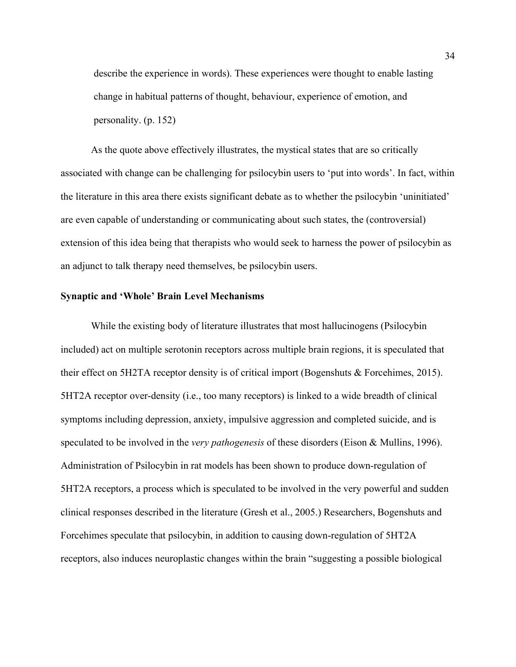describe the experience in words). These experiences were thought to enable lasting change in habitual patterns of thought, behaviour, experience of emotion, and personality. (p. 152)

As the quote above effectively illustrates, the mystical states that are so critically associated with change can be challenging for psilocybin users to 'put into words'. In fact, within the literature in this area there exists significant debate as to whether the psilocybin 'uninitiated' are even capable of understanding or communicating about such states, the (controversial) extension of this idea being that therapists who would seek to harness the power of psilocybin as an adjunct to talk therapy need themselves, be psilocybin users.

## **Synaptic and 'Whole' Brain Level Mechanisms**

While the existing body of literature illustrates that most hallucinogens (Psilocybin included) act on multiple serotonin receptors across multiple brain regions, it is speculated that their effect on 5H2TA receptor density is of critical import (Bogenshuts & Forcehimes, 2015). 5HT2A receptor over-density (i.e., too many receptors) is linked to a wide breadth of clinical symptoms including depression, anxiety, impulsive aggression and completed suicide, and is speculated to be involved in the *very pathogenesis* of these disorders (Eison & Mullins, 1996). Administration of Psilocybin in rat models has been shown to produce down-regulation of 5HT2A receptors, a process which is speculated to be involved in the very powerful and sudden clinical responses described in the literature (Gresh et al., 2005.) Researchers, Bogenshuts and Forcehimes speculate that psilocybin, in addition to causing down-regulation of 5HT2A receptors, also induces neuroplastic changes within the brain "suggesting a possible biological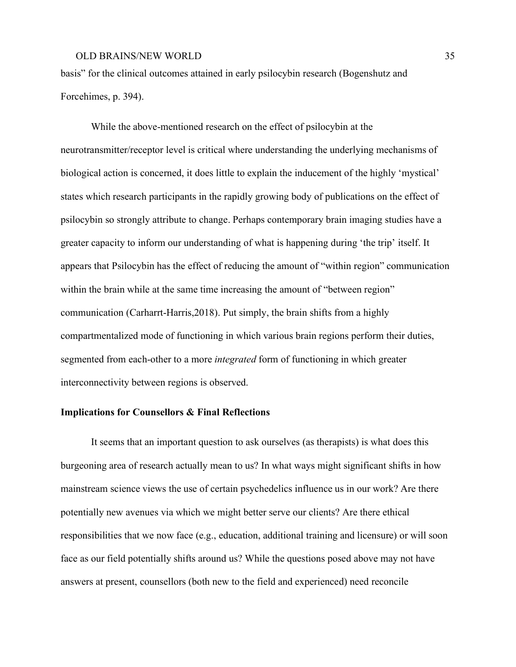basis" for the clinical outcomes attained in early psilocybin research (Bogenshutz and Forcehimes, p. 394).

While the above-mentioned research on the effect of psilocybin at the neurotransmitter/receptor level is critical where understanding the underlying mechanisms of biological action is concerned, it does little to explain the inducement of the highly 'mystical' states which research participants in the rapidly growing body of publications on the effect of psilocybin so strongly attribute to change. Perhaps contemporary brain imaging studies have a greater capacity to inform our understanding of what is happening during 'the trip' itself. It appears that Psilocybin has the effect of reducing the amount of "within region" communication within the brain while at the same time increasing the amount of "between region" communication (Carharrt-Harris,2018). Put simply, the brain shifts from a highly compartmentalized mode of functioning in which various brain regions perform their duties, segmented from each-other to a more *integrated* form of functioning in which greater interconnectivity between regions is observed.

# **Implications for Counsellors & Final Reflections**

It seems that an important question to ask ourselves (as therapists) is what does this burgeoning area of research actually mean to us? In what ways might significant shifts in how mainstream science views the use of certain psychedelics influence us in our work? Are there potentially new avenues via which we might better serve our clients? Are there ethical responsibilities that we now face (e.g., education, additional training and licensure) or will soon face as our field potentially shifts around us? While the questions posed above may not have answers at present, counsellors (both new to the field and experienced) need reconcile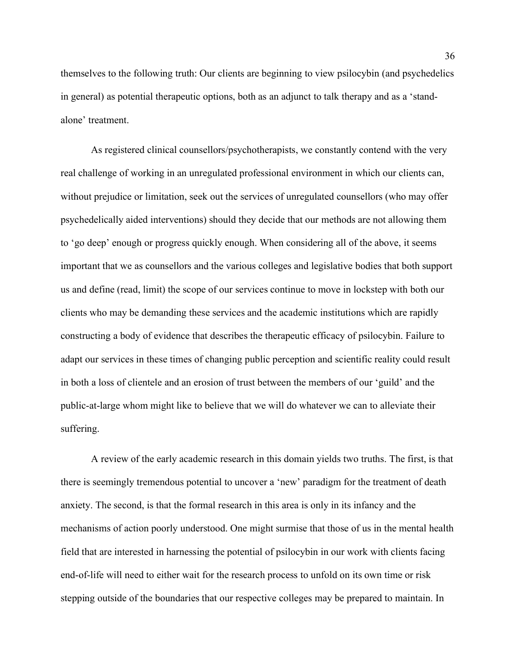themselves to the following truth: Our clients are beginning to view psilocybin (and psychedelics in general) as potential therapeutic options, both as an adjunct to talk therapy and as a 'standalone' treatment.

As registered clinical counsellors/psychotherapists, we constantly contend with the very real challenge of working in an unregulated professional environment in which our clients can, without prejudice or limitation, seek out the services of unregulated counsellors (who may offer psychedelically aided interventions) should they decide that our methods are not allowing them to 'go deep' enough or progress quickly enough. When considering all of the above, it seems important that we as counsellors and the various colleges and legislative bodies that both support us and define (read, limit) the scope of our services continue to move in lockstep with both our clients who may be demanding these services and the academic institutions which are rapidly constructing a body of evidence that describes the therapeutic efficacy of psilocybin. Failure to adapt our services in these times of changing public perception and scientific reality could result in both a loss of clientele and an erosion of trust between the members of our 'guild' and the public-at-large whom might like to believe that we will do whatever we can to alleviate their suffering.

A review of the early academic research in this domain yields two truths. The first, is that there is seemingly tremendous potential to uncover a 'new' paradigm for the treatment of death anxiety. The second, is that the formal research in this area is only in its infancy and the mechanisms of action poorly understood. One might surmise that those of us in the mental health field that are interested in harnessing the potential of psilocybin in our work with clients facing end-of-life will need to either wait for the research process to unfold on its own time or risk stepping outside of the boundaries that our respective colleges may be prepared to maintain. In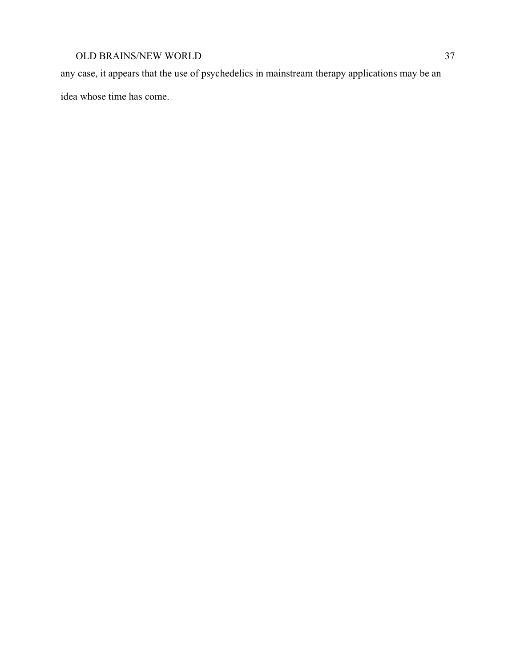any case, it appears that the use of psychedelics in mainstream therapy applications may be an idea whose time has come.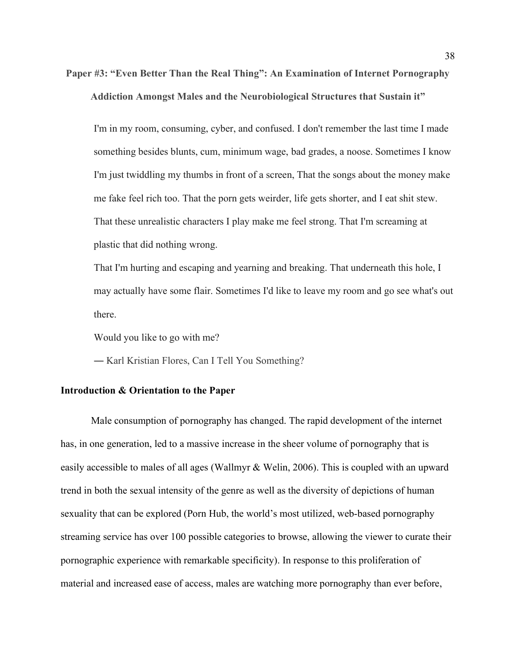**Paper #3: "Even Better Than the Real Thing": An Examination of Internet Pornography Addiction Amongst Males and the Neurobiological Structures that Sustain it"**

I'm in my room, consuming, cyber, and confused. I don't remember the last time I made something besides blunts, cum, minimum wage, bad grades, a noose. Sometimes I know I'm just twiddling my thumbs in front of a screen, That the songs about the money make me fake feel rich too. That the porn gets weirder, life gets shorter, and I eat shit stew. That these unrealistic characters I play make me feel strong. That I'm screaming at plastic that did nothing wrong.

That I'm hurting and escaping and yearning and breaking. That underneath this hole, I may actually have some flair. Sometimes I'd like to leave my room and go see what's out there.

Would you like to go with me?

― Karl Kristian Flores, Can I Tell You Something?

#### **Introduction & Orientation to the Paper**

Male consumption of pornography has changed. The rapid development of the internet has, in one generation, led to a massive increase in the sheer volume of pornography that is easily accessible to males of all ages (Wallmyr & Welin, 2006). This is coupled with an upward trend in both the sexual intensity of the genre as well as the diversity of depictions of human sexuality that can be explored (Porn Hub, the world's most utilized, web-based pornography streaming service has over 100 possible categories to browse, allowing the viewer to curate their pornographic experience with remarkable specificity). In response to this proliferation of material and increased ease of access, males are watching more pornography than ever before,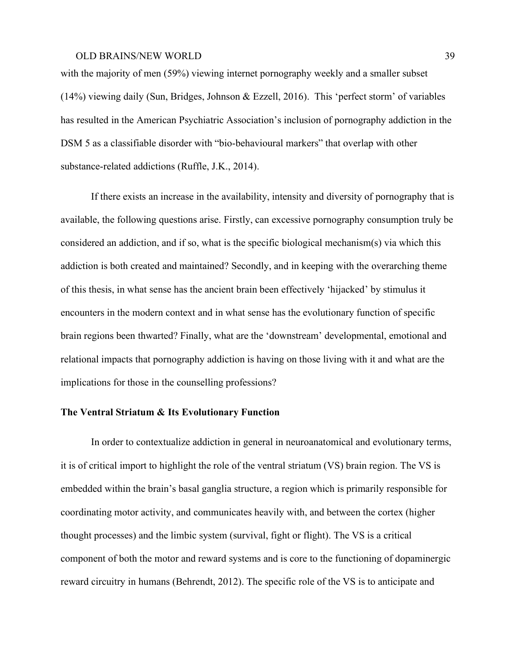with the majority of men (59%) viewing internet pornography weekly and a smaller subset (14%) viewing daily (Sun, Bridges, Johnson & Ezzell, 2016). This 'perfect storm' of variables has resulted in the American Psychiatric Association's inclusion of pornography addiction in the DSM 5 as a classifiable disorder with "bio-behavioural markers" that overlap with other substance-related addictions (Ruffle, J.K., 2014).

If there exists an increase in the availability, intensity and diversity of pornography that is available, the following questions arise. Firstly, can excessive pornography consumption truly be considered an addiction, and if so, what is the specific biological mechanism(s) via which this addiction is both created and maintained? Secondly, and in keeping with the overarching theme of this thesis, in what sense has the ancient brain been effectively 'hijacked' by stimulus it encounters in the modern context and in what sense has the evolutionary function of specific brain regions been thwarted? Finally, what are the 'downstream' developmental, emotional and relational impacts that pornography addiction is having on those living with it and what are the implications for those in the counselling professions?

# **The Ventral Striatum & Its Evolutionary Function**

In order to contextualize addiction in general in neuroanatomical and evolutionary terms, it is of critical import to highlight the role of the ventral striatum (VS) brain region. The VS is embedded within the brain's basal ganglia structure, a region which is primarily responsible for coordinating motor activity, and communicates heavily with, and between the cortex (higher thought processes) and the limbic system (survival, fight or flight). The VS is a critical component of both the motor and reward systems and is core to the functioning of dopaminergic reward circuitry in humans (Behrendt, 2012). The specific role of the VS is to anticipate and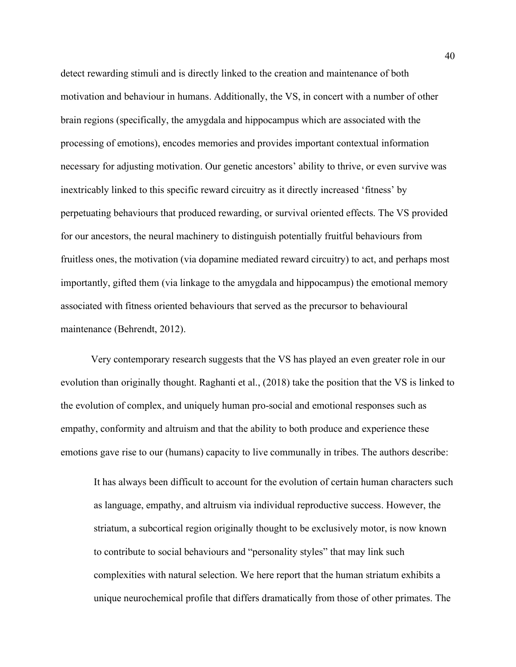detect rewarding stimuli and is directly linked to the creation and maintenance of both motivation and behaviour in humans. Additionally, the VS, in concert with a number of other brain regions (specifically, the amygdala and hippocampus which are associated with the processing of emotions), encodes memories and provides important contextual information necessary for adjusting motivation. Our genetic ancestors' ability to thrive, or even survive was inextricably linked to this specific reward circuitry as it directly increased 'fitness' by perpetuating behaviours that produced rewarding, or survival oriented effects. The VS provided for our ancestors, the neural machinery to distinguish potentially fruitful behaviours from fruitless ones, the motivation (via dopamine mediated reward circuitry) to act, and perhaps most importantly, gifted them (via linkage to the amygdala and hippocampus) the emotional memory associated with fitness oriented behaviours that served as the precursor to behavioural maintenance (Behrendt, 2012).

Very contemporary research suggests that the VS has played an even greater role in our evolution than originally thought. Raghanti et al., (2018) take the position that the VS is linked to the evolution of complex, and uniquely human pro-social and emotional responses such as empathy, conformity and altruism and that the ability to both produce and experience these emotions gave rise to our (humans) capacity to live communally in tribes. The authors describe:

It has always been difficult to account for the evolution of certain human characters such as language, empathy, and altruism via individual reproductive success. However, the striatum, a subcortical region originally thought to be exclusively motor, is now known to contribute to social behaviours and "personality styles" that may link such complexities with natural selection. We here report that the human striatum exhibits a unique neurochemical profile that differs dramatically from those of other primates. The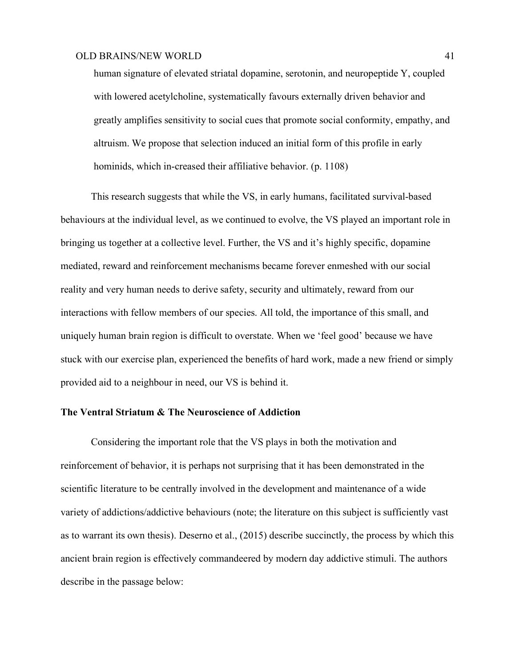human signature of elevated striatal dopamine, serotonin, and neuropeptide Y, coupled with lowered acetylcholine, systematically favours externally driven behavior and greatly amplifies sensitivity to social cues that promote social conformity, empathy, and altruism. We propose that selection induced an initial form of this profile in early hominids, which in-creased their affiliative behavior. (p. 1108)

This research suggests that while the VS, in early humans, facilitated survival-based behaviours at the individual level, as we continued to evolve, the VS played an important role in bringing us together at a collective level. Further, the VS and it's highly specific, dopamine mediated, reward and reinforcement mechanisms became forever enmeshed with our social reality and very human needs to derive safety, security and ultimately, reward from our interactions with fellow members of our species. All told, the importance of this small, and uniquely human brain region is difficult to overstate. When we 'feel good' because we have stuck with our exercise plan, experienced the benefits of hard work, made a new friend or simply provided aid to a neighbour in need, our VS is behind it.

# **The Ventral Striatum & The Neuroscience of Addiction**

Considering the important role that the VS plays in both the motivation and reinforcement of behavior, it is perhaps not surprising that it has been demonstrated in the scientific literature to be centrally involved in the development and maintenance of a wide variety of addictions/addictive behaviours (note; the literature on this subject is sufficiently vast as to warrant its own thesis). Deserno et al., (2015) describe succinctly, the process by which this ancient brain region is effectively commandeered by modern day addictive stimuli. The authors describe in the passage below: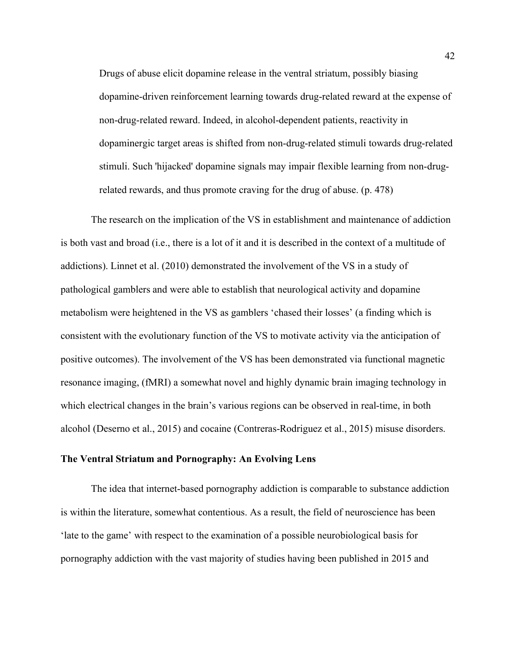Drugs of abuse elicit dopamine release in the ventral striatum, possibly biasing dopamine-driven reinforcement learning towards drug-related reward at the expense of non-drug-related reward. Indeed, in alcohol-dependent patients, reactivity in dopaminergic target areas is shifted from non-drug-related stimuli towards drug-related stimuli. Such 'hijacked' dopamine signals may impair flexible learning from non-drugrelated rewards, and thus promote craving for the drug of abuse. (p. 478)

The research on the implication of the VS in establishment and maintenance of addiction is both vast and broad (i.e., there is a lot of it and it is described in the context of a multitude of addictions). Linnet et al. (2010) demonstrated the involvement of the VS in a study of pathological gamblers and were able to establish that neurological activity and dopamine metabolism were heightened in the VS as gamblers 'chased their losses' (a finding which is consistent with the evolutionary function of the VS to motivate activity via the anticipation of positive outcomes). The involvement of the VS has been demonstrated via functional magnetic resonance imaging, (fMRI) a somewhat novel and highly dynamic brain imaging technology in which electrical changes in the brain's various regions can be observed in real-time, in both alcohol (Deserno et al., 2015) and cocaine (Contreras-Rodriguez et al., 2015) misuse disorders.

# **The Ventral Striatum and Pornography: An Evolving Lens**

The idea that internet-based pornography addiction is comparable to substance addiction is within the literature, somewhat contentious. As a result, the field of neuroscience has been 'late to the game' with respect to the examination of a possible neurobiological basis for pornography addiction with the vast majority of studies having been published in 2015 and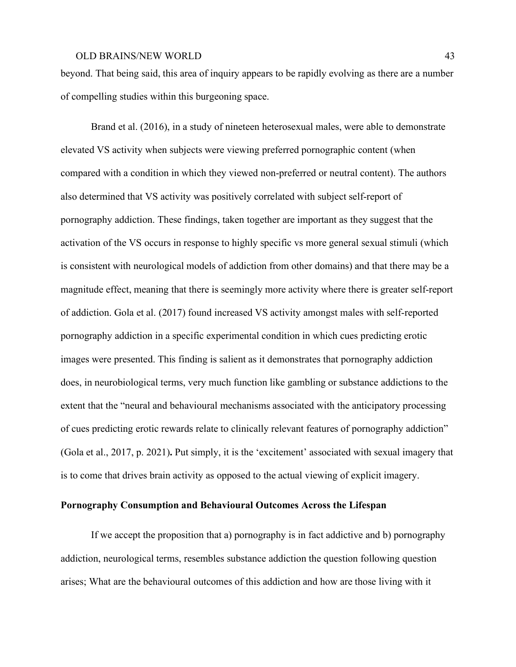beyond. That being said, this area of inquiry appears to be rapidly evolving as there are a number of compelling studies within this burgeoning space.

Brand et al. (2016), in a study of nineteen heterosexual males, were able to demonstrate elevated VS activity when subjects were viewing preferred pornographic content (when compared with a condition in which they viewed non-preferred or neutral content). The authors also determined that VS activity was positively correlated with subject self-report of pornography addiction. These findings, taken together are important as they suggest that the activation of the VS occurs in response to highly specific vs more general sexual stimuli (which is consistent with neurological models of addiction from other domains) and that there may be a magnitude effect, meaning that there is seemingly more activity where there is greater self-report of addiction. Gola et al. (2017) found increased VS activity amongst males with self-reported pornography addiction in a specific experimental condition in which cues predicting erotic images were presented. This finding is salient as it demonstrates that pornography addiction does, in neurobiological terms, very much function like gambling or substance addictions to the extent that the "neural and behavioural mechanisms associated with the anticipatory processing of cues predicting erotic rewards relate to clinically relevant features of pornography addiction" (Gola et al., 2017, p. 2021)**.** Put simply, it is the 'excitement' associated with sexual imagery that is to come that drives brain activity as opposed to the actual viewing of explicit imagery.

# **Pornography Consumption and Behavioural Outcomes Across the Lifespan**

If we accept the proposition that a) pornography is in fact addictive and b) pornography addiction, neurological terms, resembles substance addiction the question following question arises; What are the behavioural outcomes of this addiction and how are those living with it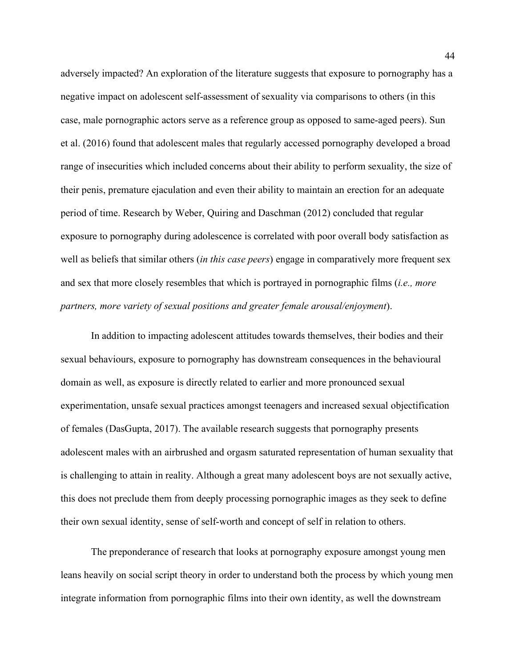adversely impacted? An exploration of the literature suggests that exposure to pornography has a negative impact on adolescent self-assessment of sexuality via comparisons to others (in this case, male pornographic actors serve as a reference group as opposed to same-aged peers). Sun et al. (2016) found that adolescent males that regularly accessed pornography developed a broad range of insecurities which included concerns about their ability to perform sexuality, the size of their penis, premature ejaculation and even their ability to maintain an erection for an adequate period of time. Research by Weber, Quiring and Daschman (2012) concluded that regular exposure to pornography during adolescence is correlated with poor overall body satisfaction as well as beliefs that similar others (*in this case peers*) engage in comparatively more frequent sex and sex that more closely resembles that which is portrayed in pornographic films (*i.e., more partners, more variety of sexual positions and greater female arousal/enjoyment*).

In addition to impacting adolescent attitudes towards themselves, their bodies and their sexual behaviours, exposure to pornography has downstream consequences in the behavioural domain as well, as exposure is directly related to earlier and more pronounced sexual experimentation, unsafe sexual practices amongst teenagers and increased sexual objectification of females (DasGupta, 2017). The available research suggests that pornography presents adolescent males with an airbrushed and orgasm saturated representation of human sexuality that is challenging to attain in reality. Although a great many adolescent boys are not sexually active, this does not preclude them from deeply processing pornographic images as they seek to define their own sexual identity, sense of self-worth and concept of self in relation to others.

The preponderance of research that looks at pornography exposure amongst young men leans heavily on social script theory in order to understand both the process by which young men integrate information from pornographic films into their own identity, as well the downstream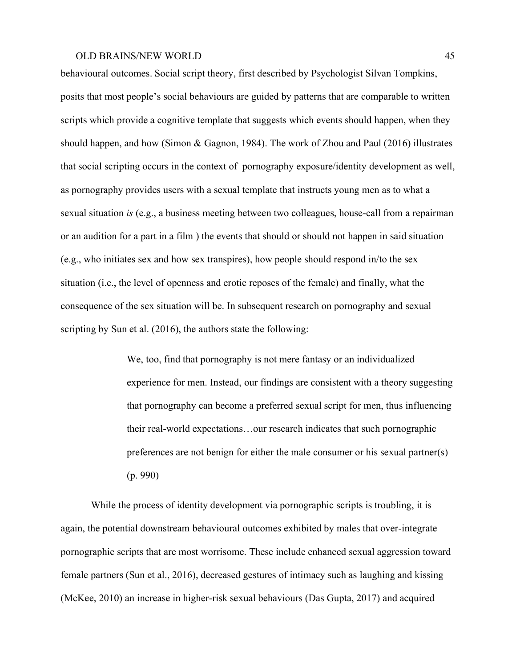behavioural outcomes. Social script theory, first described by Psychologist Silvan Tompkins, posits that most people's social behaviours are guided by patterns that are comparable to written scripts which provide a cognitive template that suggests which events should happen, when they should happen, and how (Simon & Gagnon, 1984). The work of Zhou and Paul (2016) illustrates that social scripting occurs in the context of pornography exposure/identity development as well, as pornography provides users with a sexual template that instructs young men as to what a sexual situation *is* (e.g., a business meeting between two colleagues, house-call from a repairman or an audition for a part in a film ) the events that should or should not happen in said situation (e.g., who initiates sex and how sex transpires), how people should respond in/to the sex situation (i.e., the level of openness and erotic reposes of the female) and finally, what the consequence of the sex situation will be. In subsequent research on pornography and sexual scripting by Sun et al. (2016), the authors state the following:

> We, too, find that pornography is not mere fantasy or an individualized experience for men. Instead, our findings are consistent with a theory suggesting that pornography can become a preferred sexual script for men, thus influencing their real-world expectations…our research indicates that such pornographic preferences are not benign for either the male consumer or his sexual partner(s) (p. 990)

While the process of identity development via pornographic scripts is troubling, it is again, the potential downstream behavioural outcomes exhibited by males that over-integrate pornographic scripts that are most worrisome. These include enhanced sexual aggression toward female partners (Sun et al., 2016), decreased gestures of intimacy such as laughing and kissing (McKee, 2010) an increase in higher-risk sexual behaviours (Das Gupta, 2017) and acquired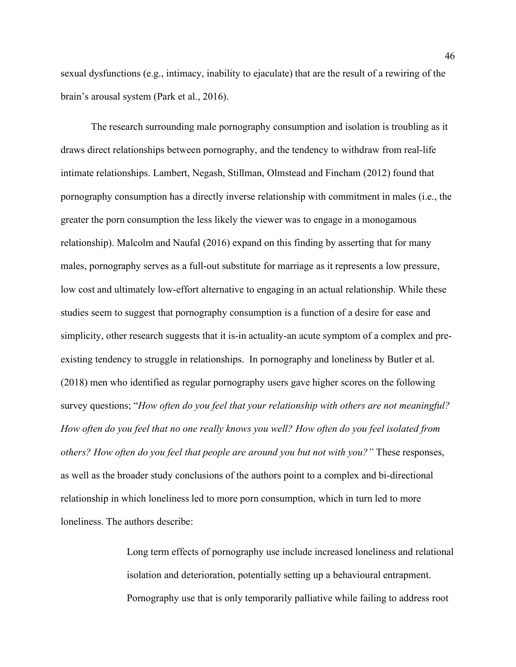sexual dysfunctions (e.g., intimacy, inability to ejaculate) that are the result of a rewiring of the brain's arousal system (Park et al., 2016).

The research surrounding male pornography consumption and isolation is troubling as it draws direct relationships between pornography, and the tendency to withdraw from real-life intimate relationships. Lambert, Negash, Stillman, Olmstead and Fincham (2012) found that pornography consumption has a directly inverse relationship with commitment in males (i.e., the greater the porn consumption the less likely the viewer was to engage in a monogamous relationship). Malcolm and Naufal (2016) expand on this finding by asserting that for many males, pornography serves as a full-out substitute for marriage as it represents a low pressure, low cost and ultimately low-effort alternative to engaging in an actual relationship. While these studies seem to suggest that pornography consumption is a function of a desire for ease and simplicity, other research suggests that it is-in actuality-an acute symptom of a complex and preexisting tendency to struggle in relationships. In pornography and loneliness by Butler et al. (2018) men who identified as regular pornography users gave higher scores on the following survey questions; "*How often do you feel that your relationship with others are not meaningful?* How often do you feel that no one really knows you well? How often do you feel isolated from *others? How often do you feel that people are around you but not with you?"* These responses, as well as the broader study conclusions of the authors point to a complex and bi-directional relationship in which loneliness led to more porn consumption, which in turn led to more loneliness. The authors describe:

> Long term effects of pornography use include increased loneliness and relational isolation and deterioration, potentially setting up a behavioural entrapment. Pornography use that is only temporarily palliative while failing to address root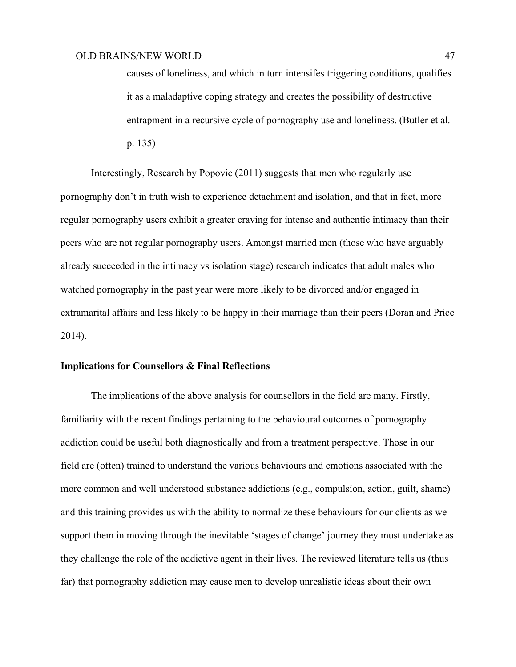causes of loneliness, and which in turn intensifes triggering conditions, qualifies it as a maladaptive coping strategy and creates the possibility of destructive entrapment in a recursive cycle of pornography use and loneliness. (Butler et al. p. 135)

Interestingly, Research by Popovic (2011) suggests that men who regularly use pornography don't in truth wish to experience detachment and isolation, and that in fact, more regular pornography users exhibit a greater craving for intense and authentic intimacy than their peers who are not regular pornography users. Amongst married men (those who have arguably already succeeded in the intimacy vs isolation stage) research indicates that adult males who watched pornography in the past year were more likely to be divorced and/or engaged in extramarital affairs and less likely to be happy in their marriage than their peers (Doran and Price 2014).

# **Implications for Counsellors & Final Reflections**

The implications of the above analysis for counsellors in the field are many. Firstly, familiarity with the recent findings pertaining to the behavioural outcomes of pornography addiction could be useful both diagnostically and from a treatment perspective. Those in our field are (often) trained to understand the various behaviours and emotions associated with the more common and well understood substance addictions (e.g., compulsion, action, guilt, shame) and this training provides us with the ability to normalize these behaviours for our clients as we support them in moving through the inevitable 'stages of change' journey they must undertake as they challenge the role of the addictive agent in their lives. The reviewed literature tells us (thus far) that pornography addiction may cause men to develop unrealistic ideas about their own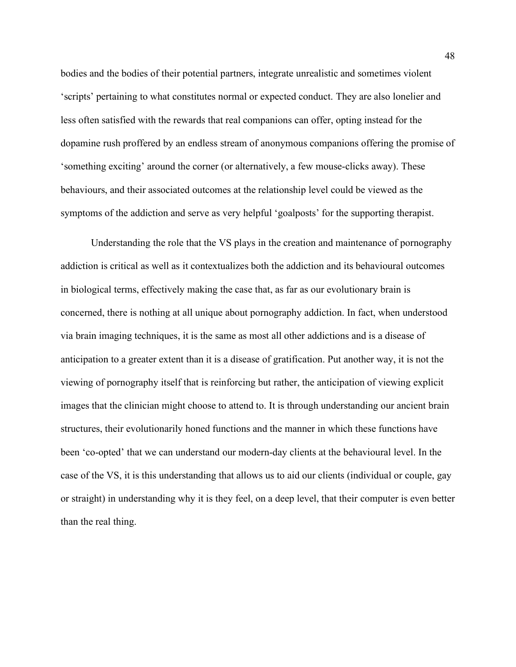bodies and the bodies of their potential partners, integrate unrealistic and sometimes violent 'scripts' pertaining to what constitutes normal or expected conduct. They are also lonelier and less often satisfied with the rewards that real companions can offer, opting instead for the dopamine rush proffered by an endless stream of anonymous companions offering the promise of 'something exciting' around the corner (or alternatively, a few mouse-clicks away). These behaviours, and their associated outcomes at the relationship level could be viewed as the symptoms of the addiction and serve as very helpful 'goalposts' for the supporting therapist.

Understanding the role that the VS plays in the creation and maintenance of pornography addiction is critical as well as it contextualizes both the addiction and its behavioural outcomes in biological terms, effectively making the case that, as far as our evolutionary brain is concerned, there is nothing at all unique about pornography addiction. In fact, when understood via brain imaging techniques, it is the same as most all other addictions and is a disease of anticipation to a greater extent than it is a disease of gratification. Put another way, it is not the viewing of pornography itself that is reinforcing but rather, the anticipation of viewing explicit images that the clinician might choose to attend to. It is through understanding our ancient brain structures, their evolutionarily honed functions and the manner in which these functions have been 'co-opted' that we can understand our modern-day clients at the behavioural level. In the case of the VS, it is this understanding that allows us to aid our clients (individual or couple, gay or straight) in understanding why it is they feel, on a deep level, that their computer is even better than the real thing.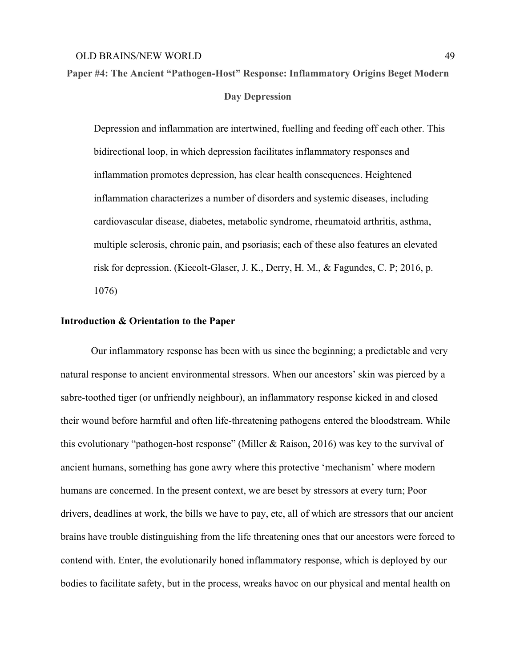**Paper #4: The Ancient "Pathogen-Host" Response: Inflammatory Origins Beget Modern Day Depression**

Depression and inflammation are intertwined, fuelling and feeding off each other. This bidirectional loop, in which depression facilitates inflammatory responses and inflammation promotes depression, has clear health consequences. Heightened inflammation characterizes a number of disorders and systemic diseases, including cardiovascular disease, diabetes, metabolic syndrome, rheumatoid arthritis, asthma, multiple sclerosis, chronic pain, and psoriasis; each of these also features an elevated risk for depression. (Kiecolt-Glaser, J. K., Derry, H. M., & Fagundes, C. P; 2016, p. 1076)

### **Introduction & Orientation to the Paper**

Our inflammatory response has been with us since the beginning; a predictable and very natural response to ancient environmental stressors. When our ancestors' skin was pierced by a sabre-toothed tiger (or unfriendly neighbour), an inflammatory response kicked in and closed their wound before harmful and often life-threatening pathogens entered the bloodstream. While this evolutionary "pathogen-host response" (Miller & Raison, 2016) was key to the survival of ancient humans, something has gone awry where this protective 'mechanism' where modern humans are concerned. In the present context, we are beset by stressors at every turn; Poor drivers, deadlines at work, the bills we have to pay, etc, all of which are stressors that our ancient brains have trouble distinguishing from the life threatening ones that our ancestors were forced to contend with. Enter, the evolutionarily honed inflammatory response, which is deployed by our bodies to facilitate safety, but in the process, wreaks havoc on our physical and mental health on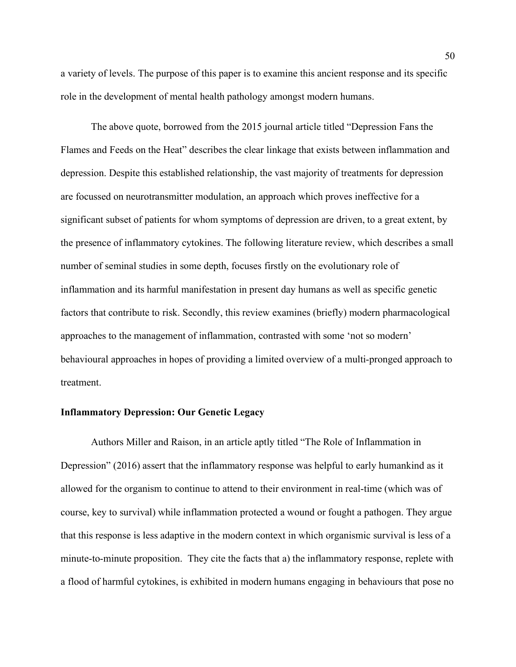a variety of levels. The purpose of this paper is to examine this ancient response and its specific role in the development of mental health pathology amongst modern humans.

The above quote, borrowed from the 2015 journal article titled "Depression Fans the Flames and Feeds on the Heat" describes the clear linkage that exists between inflammation and depression. Despite this established relationship, the vast majority of treatments for depression are focussed on neurotransmitter modulation, an approach which proves ineffective for a significant subset of patients for whom symptoms of depression are driven, to a great extent, by the presence of inflammatory cytokines. The following literature review, which describes a small number of seminal studies in some depth, focuses firstly on the evolutionary role of inflammation and its harmful manifestation in present day humans as well as specific genetic factors that contribute to risk. Secondly, this review examines (briefly) modern pharmacological approaches to the management of inflammation, contrasted with some 'not so modern' behavioural approaches in hopes of providing a limited overview of a multi-pronged approach to treatment.

# **Inflammatory Depression: Our Genetic Legacy**

Authors Miller and Raison, in an article aptly titled "The Role of Inflammation in Depression" (2016) assert that the inflammatory response was helpful to early humankind as it allowed for the organism to continue to attend to their environment in real-time (which was of course, key to survival) while inflammation protected a wound or fought a pathogen. They argue that this response is less adaptive in the modern context in which organismic survival is less of a minute-to-minute proposition. They cite the facts that a) the inflammatory response, replete with a flood of harmful cytokines, is exhibited in modern humans engaging in behaviours that pose no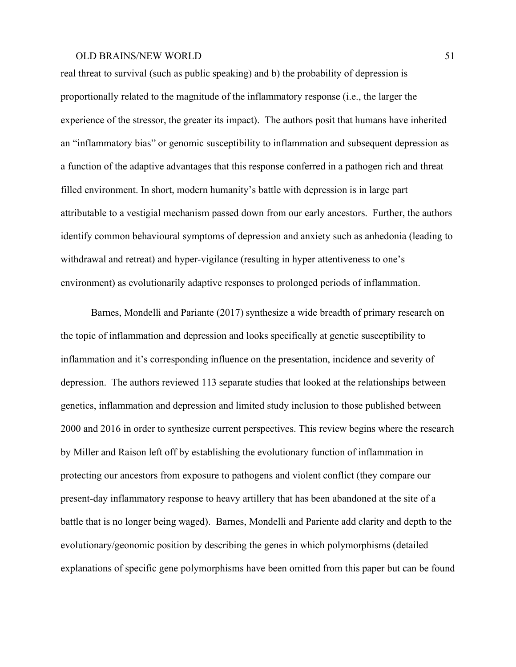real threat to survival (such as public speaking) and b) the probability of depression is proportionally related to the magnitude of the inflammatory response (i.e., the larger the experience of the stressor, the greater its impact). The authors posit that humans have inherited an "inflammatory bias" or genomic susceptibility to inflammation and subsequent depression as a function of the adaptive advantages that this response conferred in a pathogen rich and threat filled environment. In short, modern humanity's battle with depression is in large part attributable to a vestigial mechanism passed down from our early ancestors. Further, the authors identify common behavioural symptoms of depression and anxiety such as anhedonia (leading to withdrawal and retreat) and hyper-vigilance (resulting in hyper attentiveness to one's environment) as evolutionarily adaptive responses to prolonged periods of inflammation.

Barnes, Mondelli and Pariante (2017) synthesize a wide breadth of primary research on the topic of inflammation and depression and looks specifically at genetic susceptibility to inflammation and it's corresponding influence on the presentation, incidence and severity of depression. The authors reviewed 113 separate studies that looked at the relationships between genetics, inflammation and depression and limited study inclusion to those published between 2000 and 2016 in order to synthesize current perspectives. This review begins where the research by Miller and Raison left off by establishing the evolutionary function of inflammation in protecting our ancestors from exposure to pathogens and violent conflict (they compare our present-day inflammatory response to heavy artillery that has been abandoned at the site of a battle that is no longer being waged). Barnes, Mondelli and Pariente add clarity and depth to the evolutionary/geonomic position by describing the genes in which polymorphisms (detailed explanations of specific gene polymorphisms have been omitted from this paper but can be found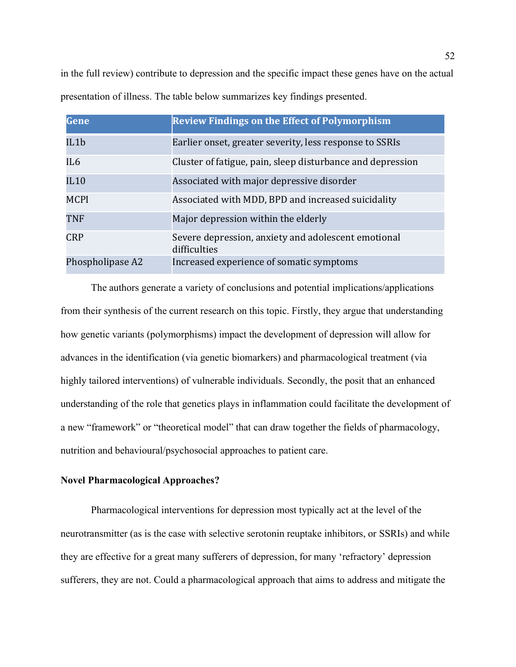in the full review) contribute to depression and the specific impact these genes have on the actual presentation of illness. The table below summarizes key findings presented.

| Gene             | <b>Review Findings on the Effect of Polymorphism</b>                |
|------------------|---------------------------------------------------------------------|
| IL1b             | Earlier onset, greater severity, less response to SSRIs             |
| IL6              | Cluster of fatigue, pain, sleep disturbance and depression          |
| IL10             | Associated with major depressive disorder                           |
| <b>MCPI</b>      | Associated with MDD, BPD and increased suicidality                  |
| <b>TNF</b>       | Major depression within the elderly                                 |
| <b>CRP</b>       | Severe depression, anxiety and adolescent emotional<br>difficulties |
| Phospholipase A2 | Increased experience of somatic symptoms                            |

The authors generate a variety of conclusions and potential implications/applications from their synthesis of the current research on this topic. Firstly, they argue that understanding how genetic variants (polymorphisms) impact the development of depression will allow for advances in the identification (via genetic biomarkers) and pharmacological treatment (via highly tailored interventions) of vulnerable individuals. Secondly, the posit that an enhanced understanding of the role that genetics plays in inflammation could facilitate the development of a new "framework" or "theoretical model" that can draw together the fields of pharmacology, nutrition and behavioural/psychosocial approaches to patient care.

# **Novel Pharmacological Approaches?**

Pharmacological interventions for depression most typically act at the level of the neurotransmitter (as is the case with selective serotonin reuptake inhibitors, or SSRIs) and while they are effective for a great many sufferers of depression, for many 'refractory' depression sufferers, they are not. Could a pharmacological approach that aims to address and mitigate the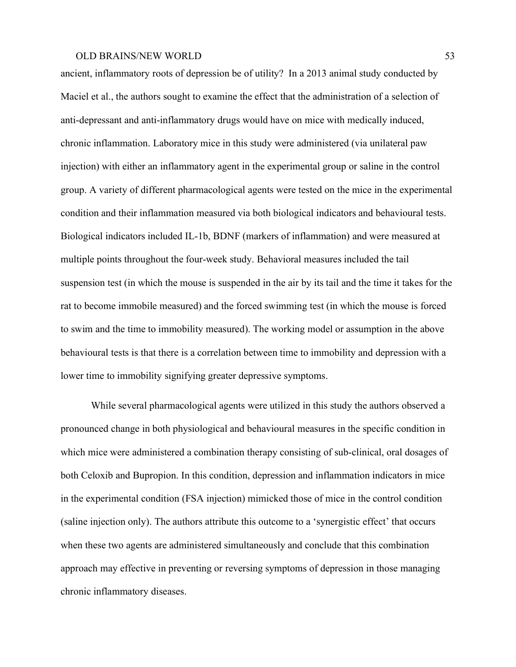ancient, inflammatory roots of depression be of utility? In a 2013 animal study conducted by Maciel et al., the authors sought to examine the effect that the administration of a selection of anti-depressant and anti-inflammatory drugs would have on mice with medically induced, chronic inflammation. Laboratory mice in this study were administered (via unilateral paw injection) with either an inflammatory agent in the experimental group or saline in the control group. A variety of different pharmacological agents were tested on the mice in the experimental condition and their inflammation measured via both biological indicators and behavioural tests. Biological indicators included IL-1b, BDNF (markers of inflammation) and were measured at multiple points throughout the four-week study. Behavioral measures included the tail suspension test (in which the mouse is suspended in the air by its tail and the time it takes for the rat to become immobile measured) and the forced swimming test (in which the mouse is forced to swim and the time to immobility measured). The working model or assumption in the above behavioural tests is that there is a correlation between time to immobility and depression with a lower time to immobility signifying greater depressive symptoms.

While several pharmacological agents were utilized in this study the authors observed a pronounced change in both physiological and behavioural measures in the specific condition in which mice were administered a combination therapy consisting of sub-clinical, oral dosages of both Celoxib and Bupropion. In this condition, depression and inflammation indicators in mice in the experimental condition (FSA injection) mimicked those of mice in the control condition (saline injection only). The authors attribute this outcome to a 'synergistic effect' that occurs when these two agents are administered simultaneously and conclude that this combination approach may effective in preventing or reversing symptoms of depression in those managing chronic inflammatory diseases.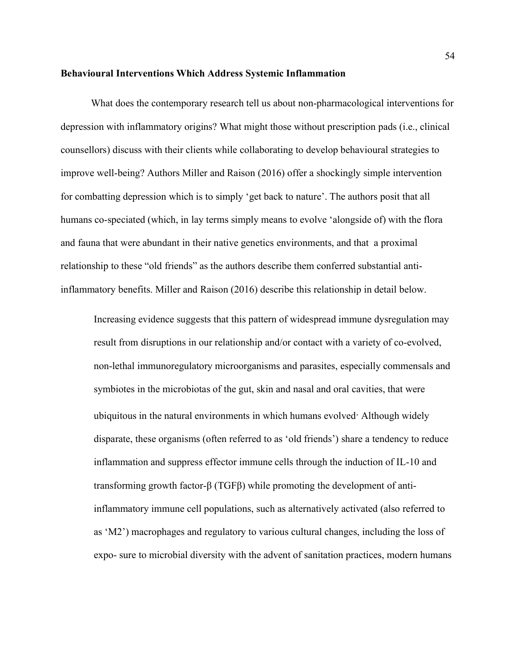#### **Behavioural Interventions Which Address Systemic Inflammation**

What does the contemporary research tell us about non-pharmacological interventions for depression with inflammatory origins? What might those without prescription pads (i.e., clinical counsellors) discuss with their clients while collaborating to develop behavioural strategies to improve well-being? Authors Miller and Raison (2016) offer a shockingly simple intervention for combatting depression which is to simply 'get back to nature'. The authors posit that all humans co-speciated (which, in lay terms simply means to evolve 'alongside of) with the flora and fauna that were abundant in their native genetics environments, and that a proximal relationship to these "old friends" as the authors describe them conferred substantial antiinflammatory benefits. Miller and Raison (2016) describe this relationship in detail below.

Increasing evidence suggests that this pattern of widespread immune dysregulation may result from disruptions in our relationship and/or contact with a variety of co-evolved, non-lethal immunoregulatory microorganisms and parasites, especially commensals and symbiotes in the microbiotas of the gut, skin and nasal and oral cavities, that were ubiquitous in the natural environments in which humans evolved. Although widely disparate, these organisms (often referred to as 'old friends') share a tendency to reduce inflammation and suppress effector immune cells through the induction of IL-10 and transforming growth factor-β (TGFβ) while promoting the development of antiinflammatory immune cell populations, such as alternatively activated (also referred to as 'M2') macrophages and regulatory to various cultural changes, including the loss of expo- sure to microbial diversity with the advent of sanitation practices, modern humans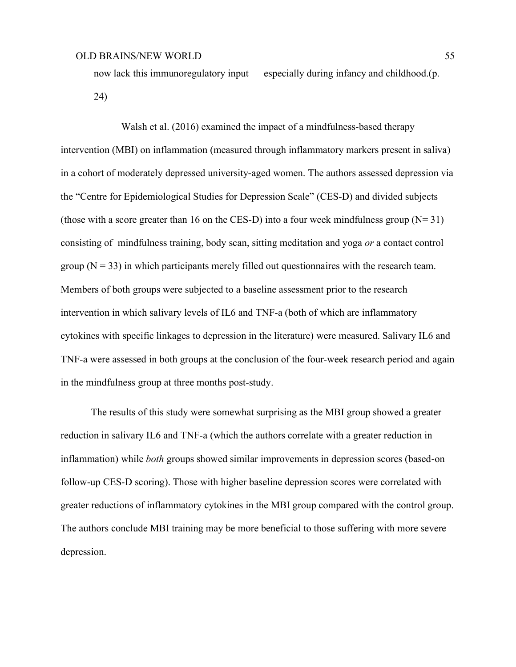now lack this immunoregulatory input — especially during infancy and childhood.(p. 24)

Walsh et al. (2016) examined the impact of a mindfulness-based therapy intervention (MBI) on inflammation (measured through inflammatory markers present in saliva) in a cohort of moderately depressed university-aged women. The authors assessed depression via the "Centre for Epidemiological Studies for Depression Scale" (CES-D) and divided subjects (those with a score greater than 16 on the CES-D) into a four week mindfulness group  $(N=31)$ consisting of mindfulness training, body scan, sitting meditation and yoga *or* a contact control group  $(N = 33)$  in which participants merely filled out questionnaires with the research team. Members of both groups were subjected to a baseline assessment prior to the research intervention in which salivary levels of IL6 and TNF-a (both of which are inflammatory cytokines with specific linkages to depression in the literature) were measured. Salivary IL6 and TNF-a were assessed in both groups at the conclusion of the four-week research period and again in the mindfulness group at three months post-study.

The results of this study were somewhat surprising as the MBI group showed a greater reduction in salivary IL6 and TNF-a (which the authors correlate with a greater reduction in inflammation) while *both* groups showed similar improvements in depression scores (based-on follow-up CES-D scoring). Those with higher baseline depression scores were correlated with greater reductions of inflammatory cytokines in the MBI group compared with the control group. The authors conclude MBI training may be more beneficial to those suffering with more severe depression.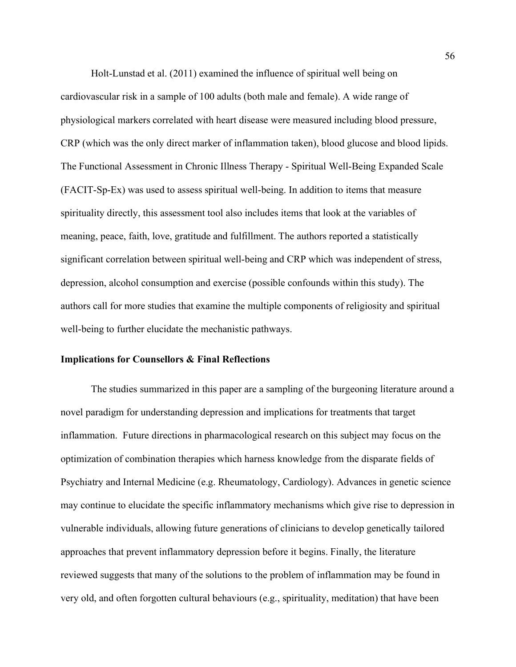Holt-Lunstad et al. (2011) examined the influence of spiritual well being on cardiovascular risk in a sample of 100 adults (both male and female). A wide range of physiological markers correlated with heart disease were measured including blood pressure, CRP (which was the only direct marker of inflammation taken), blood glucose and blood lipids. The Functional Assessment in Chronic Illness Therapy - Spiritual Well-Being Expanded Scale (FACIT-Sp-Ex) was used to assess spiritual well-being. In addition to items that measure spirituality directly, this assessment tool also includes items that look at the variables of meaning, peace, faith, love, gratitude and fulfillment. The authors reported a statistically significant correlation between spiritual well-being and CRP which was independent of stress, depression, alcohol consumption and exercise (possible confounds within this study). The authors call for more studies that examine the multiple components of religiosity and spiritual well-being to further elucidate the mechanistic pathways.

# **Implications for Counsellors & Final Reflections**

The studies summarized in this paper are a sampling of the burgeoning literature around a novel paradigm for understanding depression and implications for treatments that target inflammation. Future directions in pharmacological research on this subject may focus on the optimization of combination therapies which harness knowledge from the disparate fields of Psychiatry and Internal Medicine (e.g. Rheumatology, Cardiology). Advances in genetic science may continue to elucidate the specific inflammatory mechanisms which give rise to depression in vulnerable individuals, allowing future generations of clinicians to develop genetically tailored approaches that prevent inflammatory depression before it begins. Finally, the literature reviewed suggests that many of the solutions to the problem of inflammation may be found in very old, and often forgotten cultural behaviours (e.g., spirituality, meditation) that have been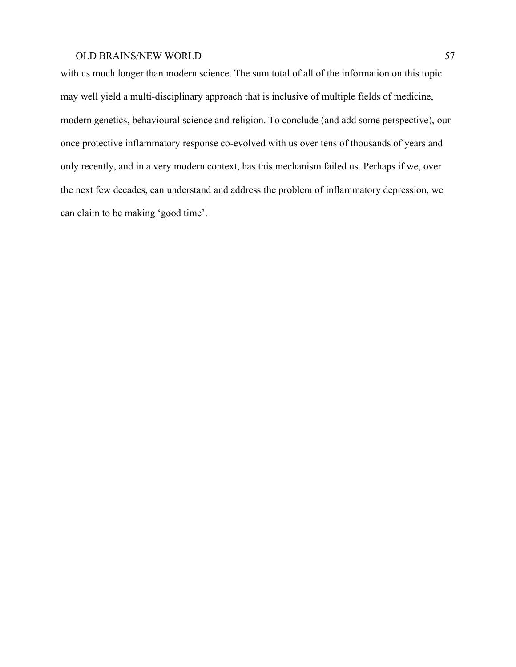with us much longer than modern science. The sum total of all of the information on this topic may well yield a multi-disciplinary approach that is inclusive of multiple fields of medicine, modern genetics, behavioural science and religion. To conclude (and add some perspective), our once protective inflammatory response co-evolved with us over tens of thousands of years and only recently, and in a very modern context, has this mechanism failed us. Perhaps if we, over the next few decades, can understand and address the problem of inflammatory depression, we can claim to be making 'good time'.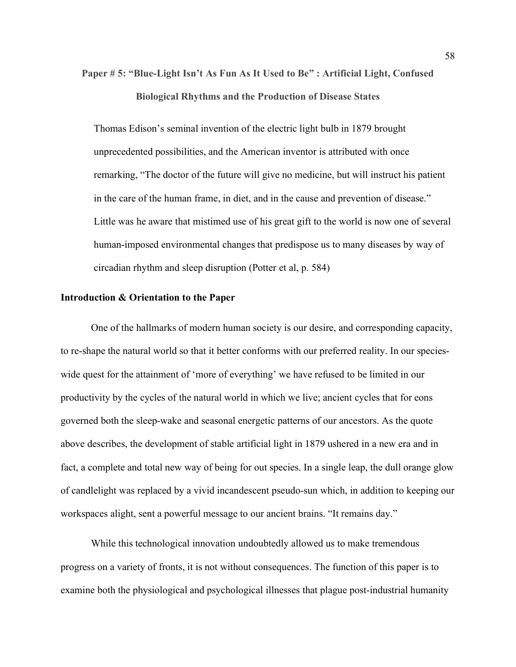# **Paper # 5: "Blue-Light Isn't As Fun As It Used to Be" : Artificial Light, Confused Biological Rhythms and the Production of Disease States**

Thomas Edison's seminal invention of the electric light bulb in 1879 brought unprecedented possibilities, and the American inventor is attributed with once remarking, "The doctor of the future will give no medicine, but will instruct his patient in the care of the human frame, in diet, and in the cause and prevention of disease." Little was he aware that mistimed use of his great gift to the world is now one of several human-imposed environmental changes that predispose us to many diseases by way of circadian rhythm and sleep disruption (Potter et al, p. 584)

# **Introduction & Orientation to the Paper**

One of the hallmarks of modern human society is our desire, and corresponding capacity, to re-shape the natural world so that it better conforms with our preferred reality. In our specieswide quest for the attainment of 'more of everything' we have refused to be limited in our productivity by the cycles of the natural world in which we live; ancient cycles that for eons governed both the sleep-wake and seasonal energetic patterns of our ancestors. As the quote above describes, the development of stable artificial light in 1879 ushered in a new era and in fact, a complete and total new way of being for out species. In a single leap, the dull orange glow of candlelight was replaced by a vivid incandescent pseudo-sun which, in addition to keeping our workspaces alight, sent a powerful message to our ancient brains. "It remains day."

While this technological innovation undoubtedly allowed us to make tremendous progress on a variety of fronts, it is not without consequences. The function of this paper is to examine both the physiological and psychological illnesses that plague post-industrial humanity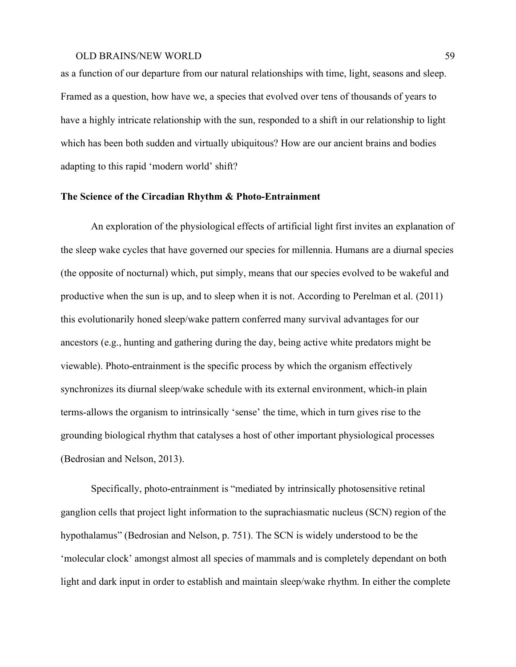as a function of our departure from our natural relationships with time, light, seasons and sleep. Framed as a question, how have we, a species that evolved over tens of thousands of years to have a highly intricate relationship with the sun, responded to a shift in our relationship to light which has been both sudden and virtually ubiquitous? How are our ancient brains and bodies adapting to this rapid 'modern world' shift?

# **The Science of the Circadian Rhythm & Photo-Entrainment**

An exploration of the physiological effects of artificial light first invites an explanation of the sleep wake cycles that have governed our species for millennia. Humans are a diurnal species (the opposite of nocturnal) which, put simply, means that our species evolved to be wakeful and productive when the sun is up, and to sleep when it is not. According to Perelman et al. (2011) this evolutionarily honed sleep/wake pattern conferred many survival advantages for our ancestors (e.g., hunting and gathering during the day, being active white predators might be viewable). Photo-entrainment is the specific process by which the organism effectively synchronizes its diurnal sleep/wake schedule with its external environment, which-in plain terms-allows the organism to intrinsically 'sense' the time, which in turn gives rise to the grounding biological rhythm that catalyses a host of other important physiological processes (Bedrosian and Nelson, 2013).

Specifically, photo-entrainment is "mediated by intrinsically photosensitive retinal ganglion cells that project light information to the suprachiasmatic nucleus (SCN) region of the hypothalamus" (Bedrosian and Nelson, p. 751). The SCN is widely understood to be the 'molecular clock' amongst almost all species of mammals and is completely dependant on both light and dark input in order to establish and maintain sleep/wake rhythm. In either the complete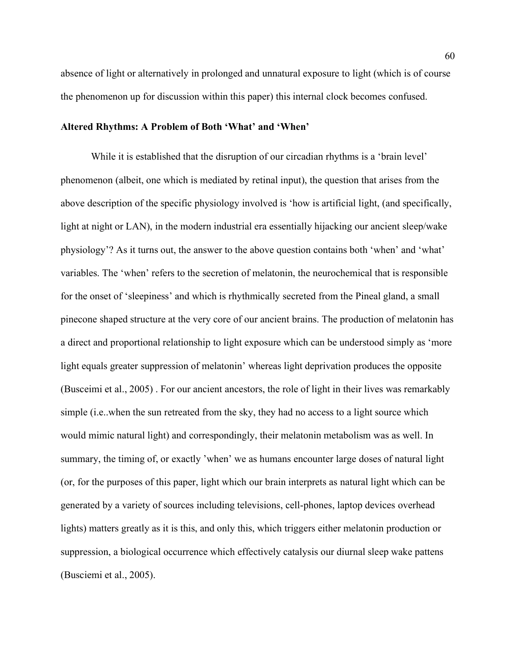absence of light or alternatively in prolonged and unnatural exposure to light (which is of course the phenomenon up for discussion within this paper) this internal clock becomes confused.

### **Altered Rhythms: A Problem of Both 'What' and 'When'**

While it is established that the disruption of our circadian rhythms is a 'brain level' phenomenon (albeit, one which is mediated by retinal input), the question that arises from the above description of the specific physiology involved is 'how is artificial light, (and specifically, light at night or LAN), in the modern industrial era essentially hijacking our ancient sleep/wake physiology'? As it turns out, the answer to the above question contains both 'when' and 'what' variables. The 'when' refers to the secretion of melatonin, the neurochemical that is responsible for the onset of 'sleepiness' and which is rhythmically secreted from the Pineal gland, a small pinecone shaped structure at the very core of our ancient brains. The production of melatonin has a direct and proportional relationship to light exposure which can be understood simply as 'more light equals greater suppression of melatonin' whereas light deprivation produces the opposite (Busceimi et al., 2005) . For our ancient ancestors, the role of light in their lives was remarkably simple (i.e..when the sun retreated from the sky, they had no access to a light source which would mimic natural light) and correspondingly, their melatonin metabolism was as well. In summary, the timing of, or exactly 'when' we as humans encounter large doses of natural light (or, for the purposes of this paper, light which our brain interprets as natural light which can be generated by a variety of sources including televisions, cell-phones, laptop devices overhead lights) matters greatly as it is this, and only this, which triggers either melatonin production or suppression, a biological occurrence which effectively catalysis our diurnal sleep wake pattens (Busciemi et al., 2005).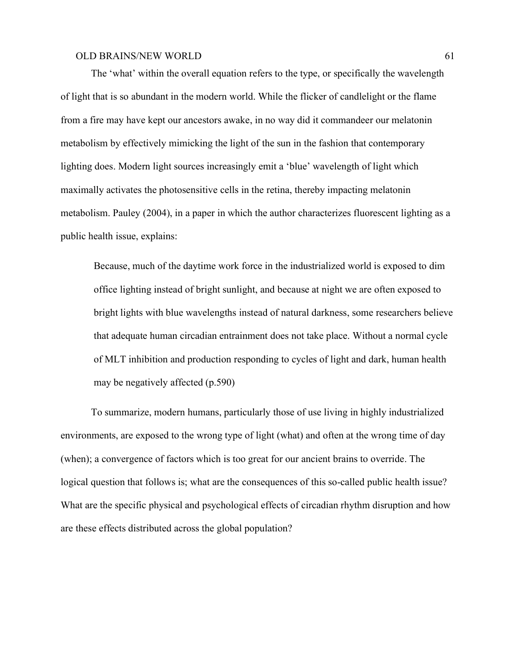The 'what' within the overall equation refers to the type, or specifically the wavelength of light that is so abundant in the modern world. While the flicker of candlelight or the flame from a fire may have kept our ancestors awake, in no way did it commandeer our melatonin metabolism by effectively mimicking the light of the sun in the fashion that contemporary lighting does. Modern light sources increasingly emit a 'blue' wavelength of light which maximally activates the photosensitive cells in the retina, thereby impacting melatonin metabolism. Pauley (2004), in a paper in which the author characterizes fluorescent lighting as a public health issue, explains:

Because, much of the daytime work force in the industrialized world is exposed to dim office lighting instead of bright sunlight, and because at night we are often exposed to bright lights with blue wavelengths instead of natural darkness, some researchers believe that adequate human circadian entrainment does not take place. Without a normal cycle of MLT inhibition and production responding to cycles of light and dark, human health may be negatively affected (p.590)

To summarize, modern humans, particularly those of use living in highly industrialized environments, are exposed to the wrong type of light (what) and often at the wrong time of day (when); a convergence of factors which is too great for our ancient brains to override. The logical question that follows is; what are the consequences of this so-called public health issue? What are the specific physical and psychological effects of circadian rhythm disruption and how are these effects distributed across the global population?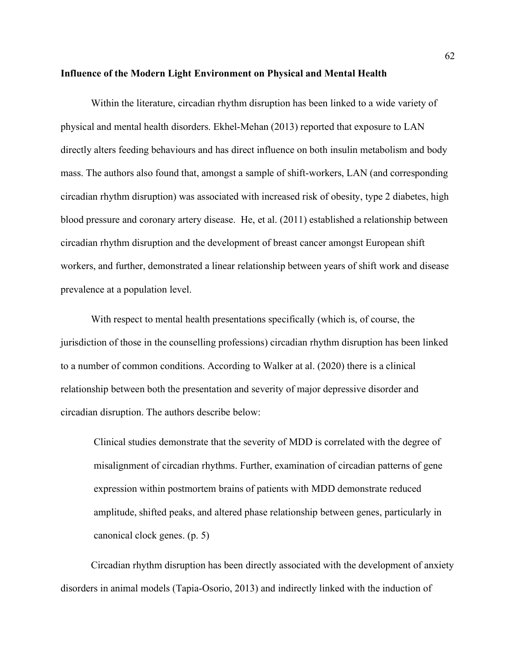#### **Influence of the Modern Light Environment on Physical and Mental Health**

Within the literature, circadian rhythm disruption has been linked to a wide variety of physical and mental health disorders. Ekhel-Mehan (2013) reported that exposure to LAN directly alters feeding behaviours and has direct influence on both insulin metabolism and body mass. The authors also found that, amongst a sample of shift-workers, LAN (and corresponding circadian rhythm disruption) was associated with increased risk of obesity, type 2 diabetes, high blood pressure and coronary artery disease. He, et al. (2011) established a relationship between circadian rhythm disruption and the development of breast cancer amongst European shift workers, and further, demonstrated a linear relationship between years of shift work and disease prevalence at a population level.

With respect to mental health presentations specifically (which is, of course, the jurisdiction of those in the counselling professions) circadian rhythm disruption has been linked to a number of common conditions. According to Walker at al. (2020) there is a clinical relationship between both the presentation and severity of major depressive disorder and circadian disruption. The authors describe below:

Clinical studies demonstrate that the severity of MDD is correlated with the degree of misalignment of circadian rhythms. Further, examination of circadian patterns of gene expression within postmortem brains of patients with MDD demonstrate reduced amplitude, shifted peaks, and altered phase relationship between genes, particularly in canonical clock genes. (p. 5)

Circadian rhythm disruption has been directly associated with the development of anxiety disorders in animal models (Tapia-Osorio, 2013) and indirectly linked with the induction of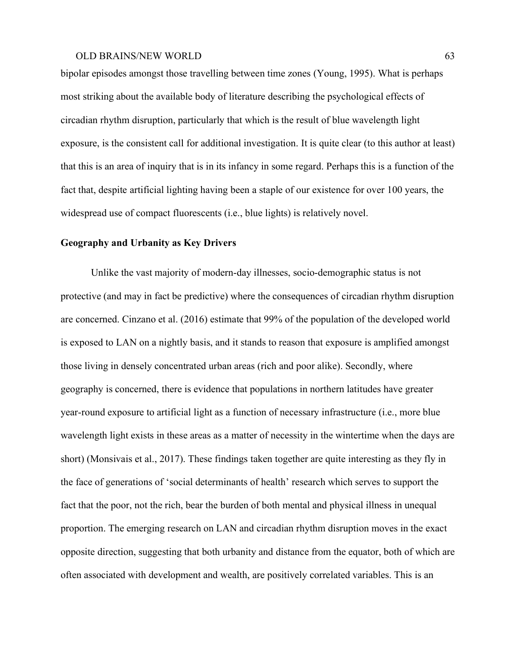bipolar episodes amongst those travelling between time zones (Young, 1995). What is perhaps most striking about the available body of literature describing the psychological effects of circadian rhythm disruption, particularly that which is the result of blue wavelength light exposure, is the consistent call for additional investigation. It is quite clear (to this author at least) that this is an area of inquiry that is in its infancy in some regard. Perhaps this is a function of the fact that, despite artificial lighting having been a staple of our existence for over 100 years, the widespread use of compact fluorescents (i.e., blue lights) is relatively novel.

### **Geography and Urbanity as Key Drivers**

Unlike the vast majority of modern-day illnesses, socio-demographic status is not protective (and may in fact be predictive) where the consequences of circadian rhythm disruption are concerned. Cinzano et al. (2016) estimate that 99% of the population of the developed world is exposed to LAN on a nightly basis, and it stands to reason that exposure is amplified amongst those living in densely concentrated urban areas (rich and poor alike). Secondly, where geography is concerned, there is evidence that populations in northern latitudes have greater year-round exposure to artificial light as a function of necessary infrastructure (i.e., more blue wavelength light exists in these areas as a matter of necessity in the wintertime when the days are short) (Monsivais et al., 2017). These findings taken together are quite interesting as they fly in the face of generations of 'social determinants of health' research which serves to support the fact that the poor, not the rich, bear the burden of both mental and physical illness in unequal proportion. The emerging research on LAN and circadian rhythm disruption moves in the exact opposite direction, suggesting that both urbanity and distance from the equator, both of which are often associated with development and wealth, are positively correlated variables. This is an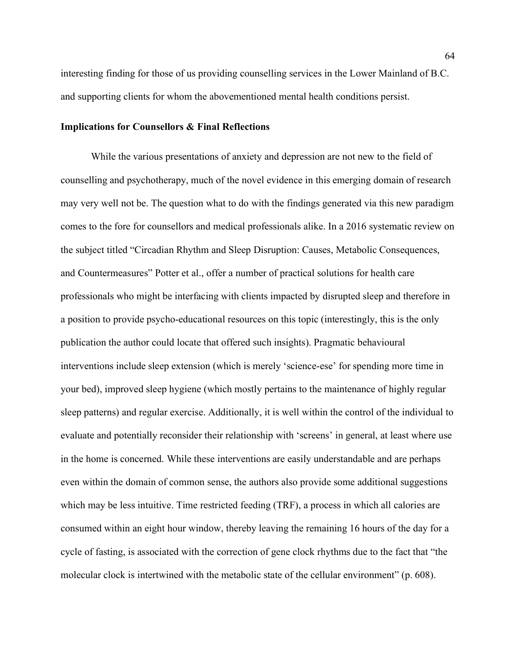interesting finding for those of us providing counselling services in the Lower Mainland of B.C. and supporting clients for whom the abovementioned mental health conditions persist.

#### **Implications for Counsellors & Final Reflections**

While the various presentations of anxiety and depression are not new to the field of counselling and psychotherapy, much of the novel evidence in this emerging domain of research may very well not be. The question what to do with the findings generated via this new paradigm comes to the fore for counsellors and medical professionals alike. In a 2016 systematic review on the subject titled "Circadian Rhythm and Sleep Disruption: Causes, Metabolic Consequences, and Countermeasures" Potter et al., offer a number of practical solutions for health care professionals who might be interfacing with clients impacted by disrupted sleep and therefore in a position to provide psycho-educational resources on this topic (interestingly, this is the only publication the author could locate that offered such insights). Pragmatic behavioural interventions include sleep extension (which is merely 'science-ese' for spending more time in your bed), improved sleep hygiene (which mostly pertains to the maintenance of highly regular sleep patterns) and regular exercise. Additionally, it is well within the control of the individual to evaluate and potentially reconsider their relationship with 'screens' in general, at least where use in the home is concerned. While these interventions are easily understandable and are perhaps even within the domain of common sense, the authors also provide some additional suggestions which may be less intuitive. Time restricted feeding (TRF), a process in which all calories are consumed within an eight hour window, thereby leaving the remaining 16 hours of the day for a cycle of fasting, is associated with the correction of gene clock rhythms due to the fact that "the molecular clock is intertwined with the metabolic state of the cellular environment" (p. 608).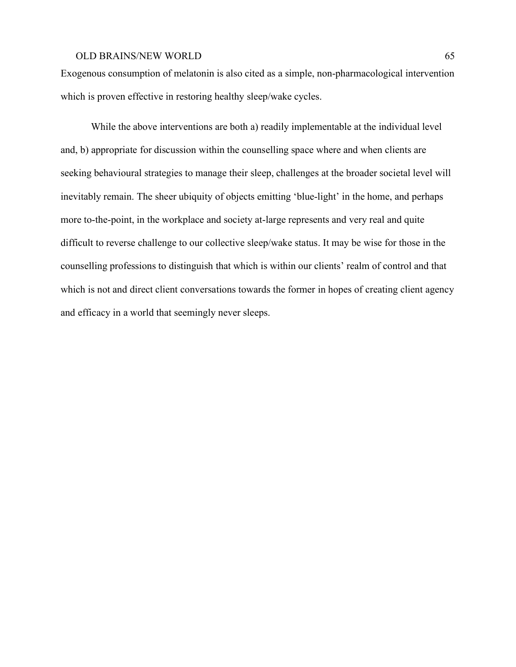Exogenous consumption of melatonin is also cited as a simple, non-pharmacological intervention which is proven effective in restoring healthy sleep/wake cycles.

While the above interventions are both a) readily implementable at the individual level and, b) appropriate for discussion within the counselling space where and when clients are seeking behavioural strategies to manage their sleep, challenges at the broader societal level will inevitably remain. The sheer ubiquity of objects emitting 'blue-light' in the home, and perhaps more to-the-point, in the workplace and society at-large represents and very real and quite difficult to reverse challenge to our collective sleep/wake status. It may be wise for those in the counselling professions to distinguish that which is within our clients' realm of control and that which is not and direct client conversations towards the former in hopes of creating client agency and efficacy in a world that seemingly never sleeps.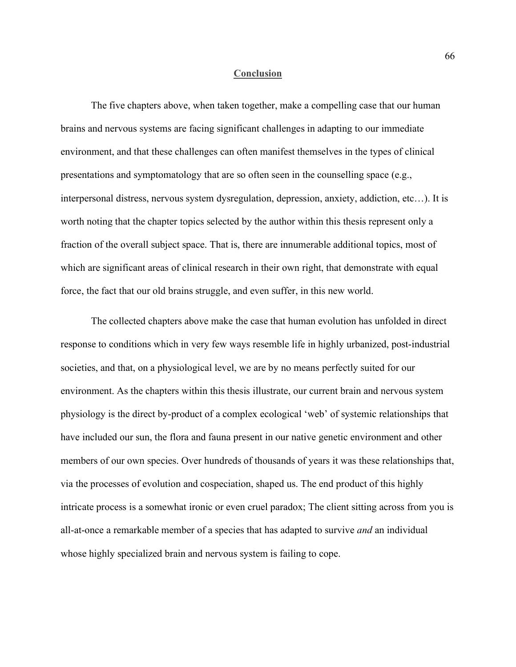#### **Conclusion**

The five chapters above, when taken together, make a compelling case that our human brains and nervous systems are facing significant challenges in adapting to our immediate environment, and that these challenges can often manifest themselves in the types of clinical presentations and symptomatology that are so often seen in the counselling space (e.g., interpersonal distress, nervous system dysregulation, depression, anxiety, addiction, etc…). It is worth noting that the chapter topics selected by the author within this thesis represent only a fraction of the overall subject space. That is, there are innumerable additional topics, most of which are significant areas of clinical research in their own right, that demonstrate with equal force, the fact that our old brains struggle, and even suffer, in this new world.

The collected chapters above make the case that human evolution has unfolded in direct response to conditions which in very few ways resemble life in highly urbanized, post-industrial societies, and that, on a physiological level, we are by no means perfectly suited for our environment. As the chapters within this thesis illustrate, our current brain and nervous system physiology is the direct by-product of a complex ecological 'web' of systemic relationships that have included our sun, the flora and fauna present in our native genetic environment and other members of our own species. Over hundreds of thousands of years it was these relationships that, via the processes of evolution and cospeciation, shaped us. The end product of this highly intricate process is a somewhat ironic or even cruel paradox; The client sitting across from you is all-at-once a remarkable member of a species that has adapted to survive *and* an individual whose highly specialized brain and nervous system is failing to cope.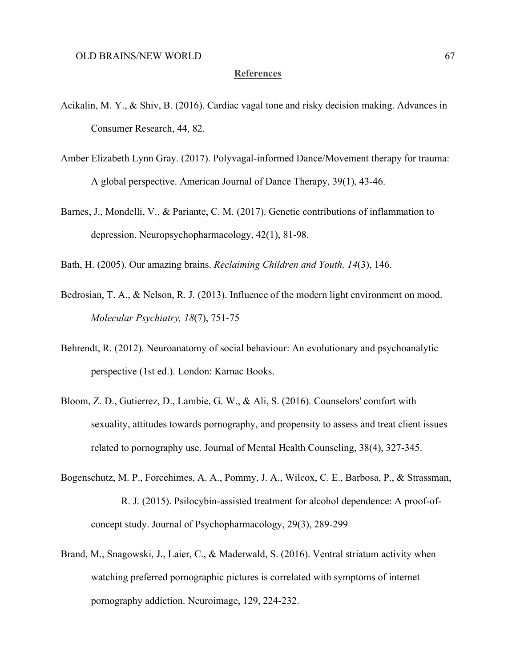# **References**

- Acikalin, M. Y., & Shiv, B. (2016). Cardiac vagal tone and risky decision making. Advances in Consumer Research, 44, 82.
- Amber Elizabeth Lynn Gray. (2017). Polyvagal-informed Dance/Movement therapy for trauma: A global perspective. American Journal of Dance Therapy, 39(1), 43-46.
- Barnes, J., Mondelli, V., & Pariante, C. M. (2017). Genetic contributions of inflammation to depression. Neuropsychopharmacology, 42(1), 81-98.

Bath, H. (2005). Our amazing brains. *Reclaiming Children and Youth, 14*(3), 146.

- Bedrosian, T. A., & Nelson, R. J. (2013). Influence of the modern light environment on mood. *Molecular Psychiatry, 18*(7), 751-75
- Behrendt, R. (2012). Neuroanatomy of social behaviour: An evolutionary and psychoanalytic perspective (1st ed.). London: Karnac Books.
- Bloom, Z. D., Gutierrez, D., Lambie, G. W., & Ali, S. (2016). Counselors' comfort with sexuality, attitudes towards pornography, and propensity to assess and treat client issues related to pornography use. Journal of Mental Health Counseling, 38(4), 327-345.
- Bogenschutz, M. P., Forcehimes, A. A., Pommy, J. A., Wilcox, C. E., Barbosa, P., & Strassman, R. J. (2015). Psilocybin-assisted treatment for alcohol dependence: A proof-ofconcept study. Journal of Psychopharmacology, 29(3), 289-299
- Brand, M., Snagowski, J., Laier, C., & Maderwald, S. (2016). Ventral striatum activity when watching preferred pornographic pictures is correlated with symptoms of internet pornography addiction. Neuroimage, 129, 224-232.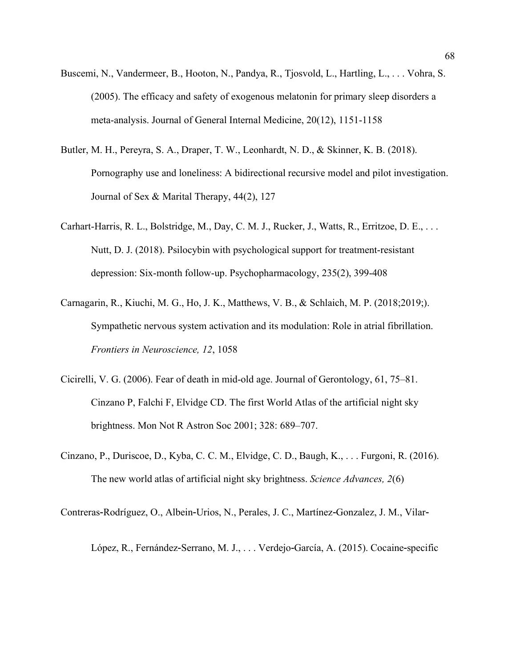- Buscemi, N., Vandermeer, B., Hooton, N., Pandya, R., Tjosvold, L., Hartling, L., . . . Vohra, S. (2005). The efficacy and safety of exogenous melatonin for primary sleep disorders a meta-analysis. Journal of General Internal Medicine, 20(12), 1151-1158
- Butler, M. H., Pereyra, S. A., Draper, T. W., Leonhardt, N. D., & Skinner, K. B. (2018). Pornography use and loneliness: A bidirectional recursive model and pilot investigation. Journal of Sex & Marital Therapy, 44(2), 127
- Carhart-Harris, R. L., Bolstridge, M., Day, C. M. J., Rucker, J., Watts, R., Erritzoe, D. E., . . . Nutt, D. J. (2018). Psilocybin with psychological support for treatment-resistant depression: Six-month follow-up. Psychopharmacology, 235(2), 399-408
- Carnagarin, R., Kiuchi, M. G., Ho, J. K., Matthews, V. B., & Schlaich, M. P. (2018;2019;). Sympathetic nervous system activation and its modulation: Role in atrial fibrillation. *Frontiers in Neuroscience, 12*, 1058
- Cicirelli, V. G. (2006). Fear of death in mid-old age. Journal of Gerontology, 61, 75–81. Cinzano P, Falchi F, Elvidge CD. The first World Atlas of the artificial night sky brightness. Mon Not R Astron Soc 2001; 328: 689–707.
- Cinzano, P., Duriscoe, D., Kyba, C. C. M., Elvidge, C. D., Baugh, K., . . . Furgoni, R. (2016). The new world atlas of artificial night sky brightness. *Science Advances, 2*(6)

Contreras‐Rodríguez, O., Albein‐Urios, N., Perales, J. C., Martínez‐Gonzalez, J. M., Vilar‐

López, R., Fernández‐Serrano, M. J., . . . Verdejo‐García, A. (2015). Cocaine‐specific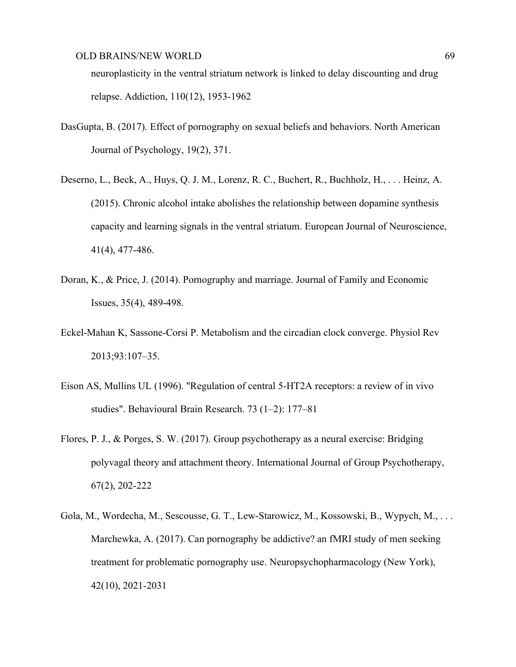neuroplasticity in the ventral striatum network is linked to delay discounting and drug relapse. Addiction, 110(12), 1953-1962

- DasGupta, B. (2017). Effect of pornography on sexual beliefs and behaviors. North American Journal of Psychology, 19(2), 371.
- Deserno, L., Beck, A., Huys, Q. J. M., Lorenz, R. C., Buchert, R., Buchholz, H., . . . Heinz, A. (2015). Chronic alcohol intake abolishes the relationship between dopamine synthesis capacity and learning signals in the ventral striatum. European Journal of Neuroscience, 41(4), 477-486.
- Doran, K., & Price, J. (2014). Pornography and marriage. Journal of Family and Economic Issues, 35(4), 489-498.
- Eckel-Mahan K, Sassone-Corsi P. Metabolism and the circadian clock converge. Physiol Rev 2013;93:107–35.
- Eison AS, Mullins UL (1996). "Regulation of central 5-HT2A receptors: a review of in vivo studies". Behavioural Brain Research. 73 (1–2): 177–81
- Flores, P. J., & Porges, S. W. (2017). Group psychotherapy as a neural exercise: Bridging polyvagal theory and attachment theory. International Journal of Group Psychotherapy, 67(2), 202-222
- Gola, M., Wordecha, M., Sescousse, G. T., Lew-Starowicz, M., Kossowski, B., Wypych, M., . . . Marchewka, A. (2017). Can pornography be addictive? an fMRI study of men seeking treatment for problematic pornography use. Neuropsychopharmacology (New York), 42(10), 2021-2031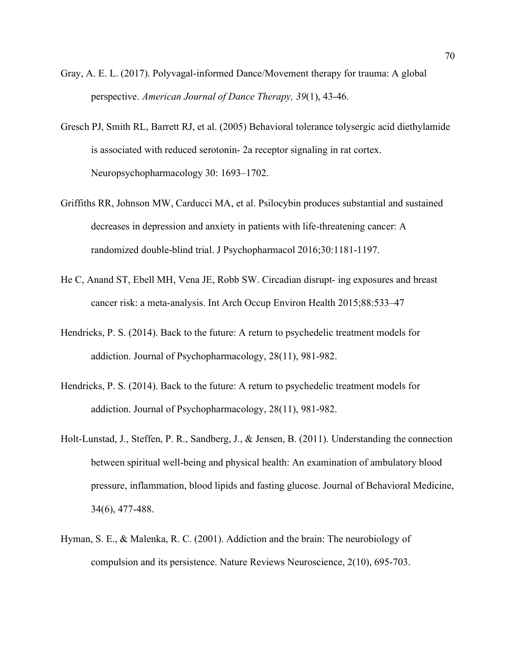- Gray, A. E. L. (2017). Polyvagal-informed Dance/Movement therapy for trauma: A global perspective. *American Journal of Dance Therapy, 39*(1), 43-46.
- Gresch PJ, Smith RL, Barrett RJ, et al. (2005) Behavioral tolerance tolysergic acid diethylamide is associated with reduced serotonin- 2a receptor signaling in rat cortex. Neuropsychopharmacology 30: 1693–1702.
- Griffiths RR, Johnson MW, Carducci MA, et al. Psilocybin produces substantial and sustained decreases in depression and anxiety in patients with life-threatening cancer: A randomized double-blind trial. J Psychopharmacol 2016;30:1181-1197.
- He C, Anand ST, Ebell MH, Vena JE, Robb SW. Circadian disrupt- ing exposures and breast cancer risk: a meta-analysis. Int Arch Occup Environ Health 2015;88:533–47
- Hendricks, P. S. (2014). Back to the future: A return to psychedelic treatment models for addiction. Journal of Psychopharmacology, 28(11), 981-982.
- Hendricks, P. S. (2014). Back to the future: A return to psychedelic treatment models for addiction. Journal of Psychopharmacology, 28(11), 981-982.
- Holt-Lunstad, J., Steffen, P. R., Sandberg, J., & Jensen, B. (2011). Understanding the connection between spiritual well-being and physical health: An examination of ambulatory blood pressure, inflammation, blood lipids and fasting glucose. Journal of Behavioral Medicine, 34(6), 477-488.
- Hyman, S. E., & Malenka, R. C. (2001). Addiction and the brain: The neurobiology of compulsion and its persistence. Nature Reviews Neuroscience, 2(10), 695-703.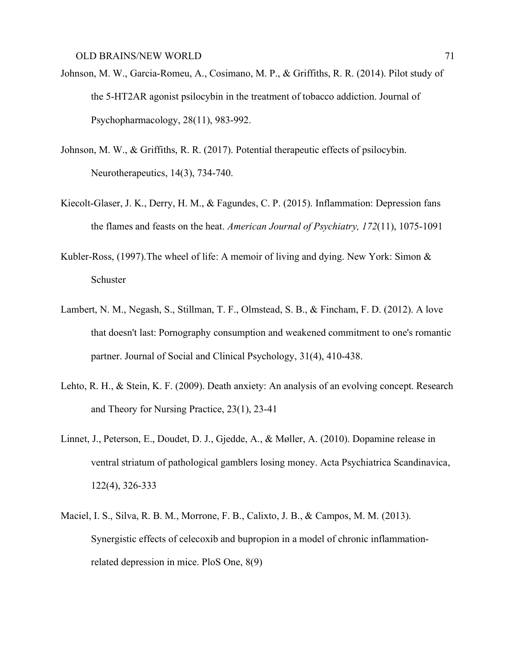- Johnson, M. W., Garcia-Romeu, A., Cosimano, M. P., & Griffiths, R. R. (2014). Pilot study of the 5-HT2AR agonist psilocybin in the treatment of tobacco addiction. Journal of Psychopharmacology, 28(11), 983-992.
- Johnson, M. W., & Griffiths, R. R. (2017). Potential therapeutic effects of psilocybin. Neurotherapeutics, 14(3), 734-740.
- Kiecolt-Glaser, J. K., Derry, H. M., & Fagundes, C. P. (2015). Inflammation: Depression fans the flames and feasts on the heat. *American Journal of Psychiatry, 172*(11), 1075-1091
- Kubler-Ross, (1997).The wheel of life: A memoir of living and dying. New York: Simon & Schuster
- Lambert, N. M., Negash, S., Stillman, T. F., Olmstead, S. B., & Fincham, F. D. (2012). A love that doesn't last: Pornography consumption and weakened commitment to one's romantic partner. Journal of Social and Clinical Psychology, 31(4), 410-438.
- Lehto, R. H., & Stein, K. F. (2009). Death anxiety: An analysis of an evolving concept. Research and Theory for Nursing Practice, 23(1), 23-41
- Linnet, J., Peterson, E., Doudet, D. J., Gjedde, A., & Møller, A. (2010). Dopamine release in ventral striatum of pathological gamblers losing money. Acta Psychiatrica Scandinavica, 122(4), 326-333
- Maciel, I. S., Silva, R. B. M., Morrone, F. B., Calixto, J. B., & Campos, M. M. (2013). Synergistic effects of celecoxib and bupropion in a model of chronic inflammationrelated depression in mice. PloS One, 8(9)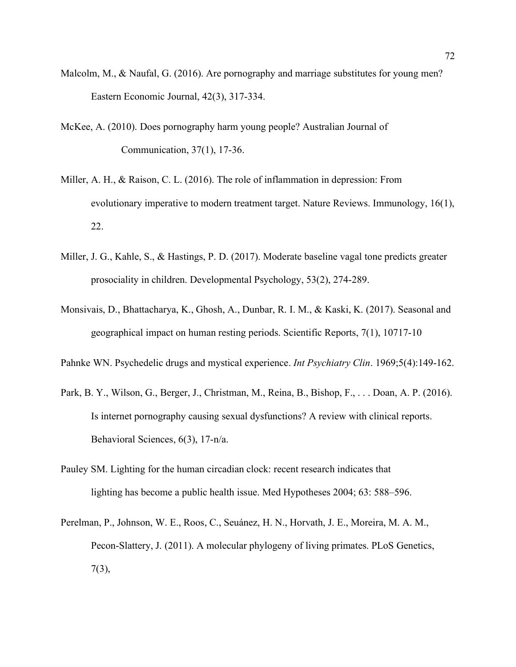- Malcolm, M., & Naufal, G. (2016). Are pornography and marriage substitutes for young men? Eastern Economic Journal, 42(3), 317-334.
- McKee, A. (2010). Does pornography harm young people? Australian Journal of Communication, 37(1), 17-36.
- Miller, A. H., & Raison, C. L. (2016). The role of inflammation in depression: From evolutionary imperative to modern treatment target. Nature Reviews. Immunology, 16(1), 22.
- Miller, J. G., Kahle, S., & Hastings, P. D. (2017). Moderate baseline vagal tone predicts greater prosociality in children. Developmental Psychology, 53(2), 274-289.
- Monsivais, D., Bhattacharya, K., Ghosh, A., Dunbar, R. I. M., & Kaski, K. (2017). Seasonal and geographical impact on human resting periods. Scientific Reports, 7(1), 10717-10
- Pahnke WN. Psychedelic drugs and mystical experience. *Int Psychiatry Clin*. 1969;5(4):149-162.
- Park, B. Y., Wilson, G., Berger, J., Christman, M., Reina, B., Bishop, F., . . . Doan, A. P. (2016). Is internet pornography causing sexual dysfunctions? A review with clinical reports. Behavioral Sciences, 6(3), 17-n/a.
- Pauley SM. Lighting for the human circadian clock: recent research indicates that lighting has become a public health issue. Med Hypotheses 2004; 63: 588–596.
- Perelman, P., Johnson, W. E., Roos, C., Seuánez, H. N., Horvath, J. E., Moreira, M. A. M., Pecon-Slattery, J. (2011). A molecular phylogeny of living primates. PLoS Genetics, 7(3),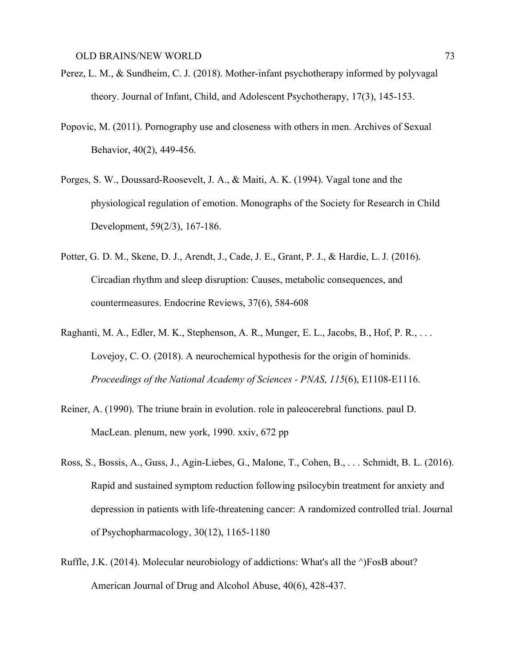- Perez, L. M., & Sundheim, C. J. (2018). Mother-infant psychotherapy informed by polyvagal theory. Journal of Infant, Child, and Adolescent Psychotherapy, 17(3), 145-153.
- Popovic, M. (2011). Pornography use and closeness with others in men. Archives of Sexual Behavior, 40(2), 449-456.
- Porges, S. W., Doussard-Roosevelt, J. A., & Maiti, A. K. (1994). Vagal tone and the physiological regulation of emotion. Monographs of the Society for Research in Child Development, 59(2/3), 167-186.
- Potter, G. D. M., Skene, D. J., Arendt, J., Cade, J. E., Grant, P. J., & Hardie, L. J. (2016). Circadian rhythm and sleep disruption: Causes, metabolic consequences, and countermeasures. Endocrine Reviews, 37(6), 584-608
- Raghanti, M. A., Edler, M. K., Stephenson, A. R., Munger, E. L., Jacobs, B., Hof, P. R., . . . Lovejoy, C. O. (2018). A neurochemical hypothesis for the origin of hominids. *Proceedings of the National Academy of Sciences - PNAS, 115*(6), E1108-E1116.
- Reiner, A. (1990). The triune brain in evolution. role in paleocerebral functions. paul D. MacLean. plenum, new york, 1990. xxiv, 672 pp
- Ross, S., Bossis, A., Guss, J., Agin-Liebes, G., Malone, T., Cohen, B., . . . Schmidt, B. L. (2016). Rapid and sustained symptom reduction following psilocybin treatment for anxiety and depression in patients with life-threatening cancer: A randomized controlled trial. Journal of Psychopharmacology, 30(12), 1165-1180
- Ruffle, J.K. (2014). Molecular neurobiology of addictions: What's all the ^)FosB about? American Journal of Drug and Alcohol Abuse, 40(6), 428-437.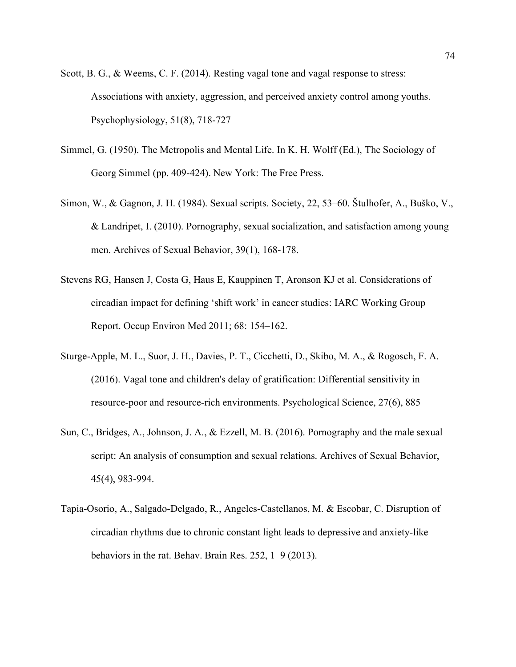- Scott, B. G., & Weems, C. F. (2014). Resting vagal tone and vagal response to stress: Associations with anxiety, aggression, and perceived anxiety control among youths. Psychophysiology, 51(8), 718-727
- Simmel, G. (1950). The Metropolis and Mental Life. In K. H. Wolff (Ed.), The Sociology of Georg Simmel (pp. 409-424). New York: The Free Press.
- Simon, W., & Gagnon, J. H. (1984). Sexual scripts. Society, 22, 53–60. Štulhofer, A., Buško, V., & Landripet, I. (2010). Pornography, sexual socialization, and satisfaction among young men. Archives of Sexual Behavior, 39(1), 168-178.
- Stevens RG, Hansen J, Costa G, Haus E, Kauppinen T, Aronson KJ et al. Considerations of circadian impact for defining 'shift work' in cancer studies: IARC Working Group Report. Occup Environ Med 2011; 68: 154–162.
- Sturge-Apple, M. L., Suor, J. H., Davies, P. T., Cicchetti, D., Skibo, M. A., & Rogosch, F. A. (2016). Vagal tone and children's delay of gratification: Differential sensitivity in resource-poor and resource-rich environments. Psychological Science, 27(6), 885
- Sun, C., Bridges, A., Johnson, J. A., & Ezzell, M. B. (2016). Pornography and the male sexual script: An analysis of consumption and sexual relations. Archives of Sexual Behavior, 45(4), 983-994.
- Tapia-Osorio, A., Salgado-Delgado, R., Angeles-Castellanos, M. & Escobar, C. Disruption of circadian rhythms due to chronic constant light leads to depressive and anxiety-like behaviors in the rat. Behav. Brain Res. 252, 1–9 (2013).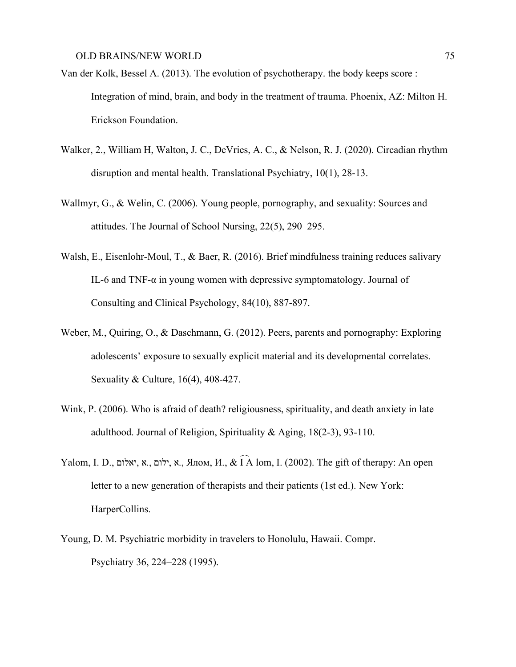- Van der Kolk, Bessel A. (2013). The evolution of psychotherapy. the body keeps score : Integration of mind, brain, and body in the treatment of trauma. Phoenix, AZ: Milton H. Erickson Foundation.
- Walker, 2., William H, Walton, J. C., DeVries, A. C., & Nelson, R. J. (2020). Circadian rhythm disruption and mental health. Translational Psychiatry, 10(1), 28-13.
- Wallmyr, G., & Welin, C. (2006). Young people, pornography, and sexuality: Sources and attitudes. The Journal of School Nursing, 22(5), 290–295.
- Walsh, E., Eisenlohr-Moul, T., & Baer, R. (2016). Brief mindfulness training reduces salivary IL-6 and TNF- $\alpha$  in young women with depressive symptomatology. Journal of Consulting and Clinical Psychology, 84(10), 887-897.
- Weber, M., Quiring, O., & Daschmann, G. (2012). Peers, parents and pornography: Exploring adolescents' exposure to sexually explicit material and its developmental correlates. Sexuality & Culture, 16(4), 408-427.
- Wink, P. (2006). Who is afraid of death? religiousness, spirituality, and death anxiety in late adulthood. Journal of Religion, Spirituality & Aging, 18(2-3), 93-110.
- Yalom, I. D., ילום, א, א, יאלום, א, א, Ялом, И., & Í À lom, I. (2002). The gift of therapy: An open letter to a new generation of therapists and their patients (1st ed.). New York: HarperCollins.
- Young, D. M. Psychiatric morbidity in travelers to Honolulu, Hawaii. Compr. Psychiatry 36, 224–228 (1995).